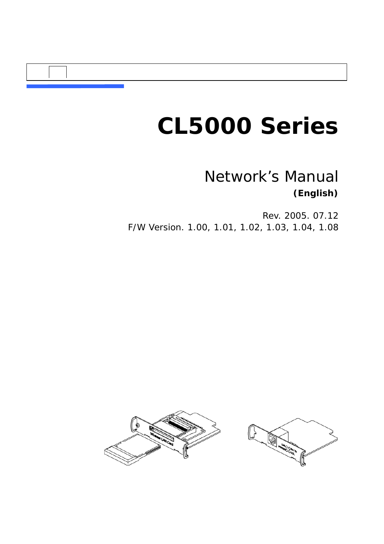# *CL5000 Series*

### *Network's Manual* **(English)**

Rev. 2005. 07.12 F/W Version. 1.00, 1.01, 1.02, 1.03, 1.04, 1.08



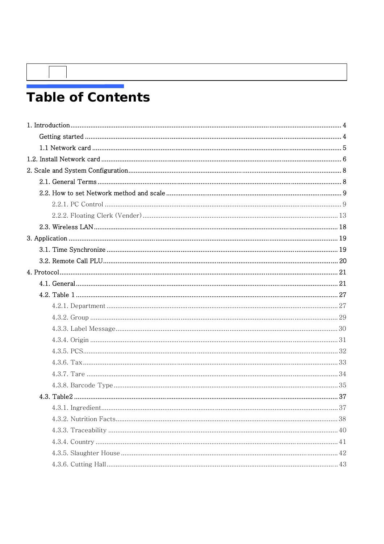## **Table of Contents**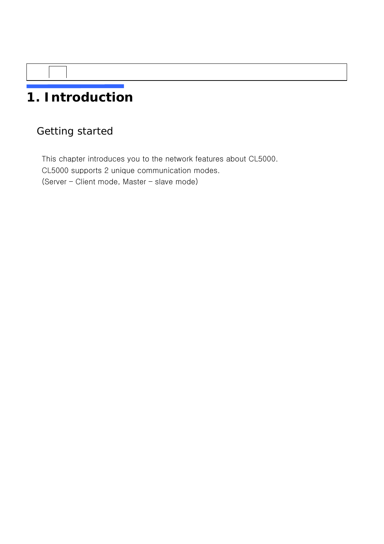## **1. Introduction**

### Getting started

This chapter introduces you to the network features about CL5000. CL5000 supports 2 unique communication modes. (Server – Client mode, Master – slave mode)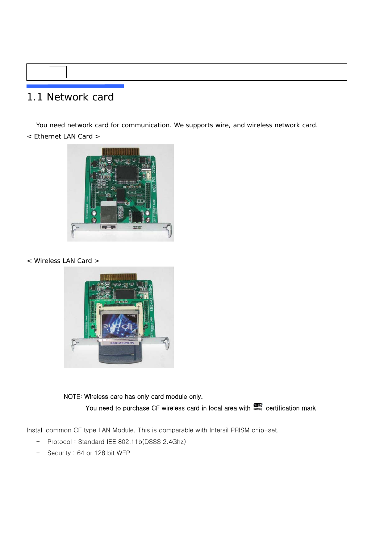### 1.1 Network card

 You need network card for communication. We supports wire, and wireless network card. < Ethernet LAN Card >



< Wireless LAN Card >



 NOTE: Wireless care has only card module only. You need to purchase CF wireless card in local area with **constants and research mark** 

Install common CF type LAN Module. This is comparable with Intersil PRISM chip-set.

- Protocol : Standard IEE 802.11b(DSSS 2.4Ghz)
- Security : 64 or 128 bit WEP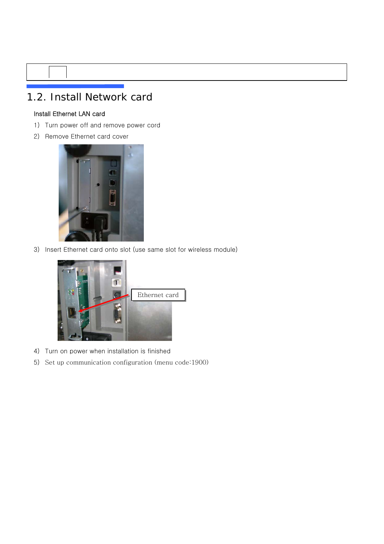### 1.2. Install Network card

#### Install Ethernet LAN card

- 1) Turn power off and remove power cord
- 2) Remove Ethernet card cover



3) Insert Ethernet card onto slot (use same slot for wireless module)



- 4) Turn on power when installation is finished
- 5) Set up communication configuration (menu code:1900)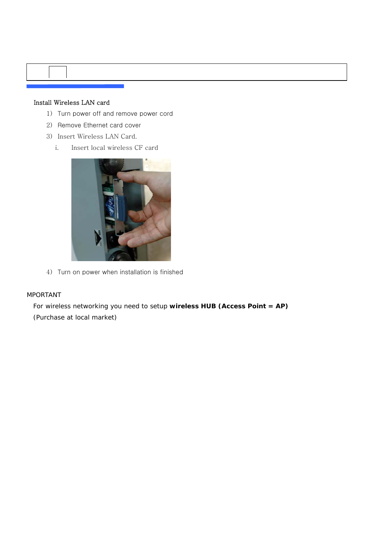#### Install Wireless LAN card

- 1) Turn power off and remove power cord
- 2) Remove Ethernet card cover
- 3) Insert Wireless LAN Card.
	- i. Insert local wireless CF card



4) Turn on power when installation is finished

#### MPORTANT

For wireless networking you need to setup **wireless HUB (Access Point = AP)**  (Purchase at local market)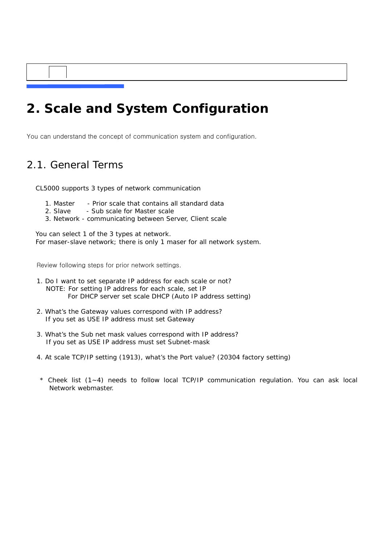### **2. Scale and System Configuration**

You can understand the concept of communication system and configuration.

### 2.1. General Terms

CL5000 supports 3 types of network communication

- 1. Master Prior scale that contains all standard data
- 2. Slave Sub scale for Master scale
- 3. Network communicating between Server, Client scale

You can select 1 of the 3 types at network. For maser-slave network; there is only 1 maser for all network system.

Review following steps for prior network settings.

- 1. Do I want to set separate IP address for each scale or not? NOTE: For setting IP address for each scale, set IP For DHCP server set scale DHCP (Auto IP address setting)
- 2. What's the Gateway values correspond with IP address? If you set as USE IP address must set Gateway
- 3. What's the Sub net mask values correspond with IP address? If you set as USE IP address must set Subnet-mask
- 4. At scale TCP/IP setting (1913), what's the Port value? (20304 factory setting)
- \* Cheek list (1~4) needs to follow local TCP/IP communication regulation. You can ask local Network webmaster.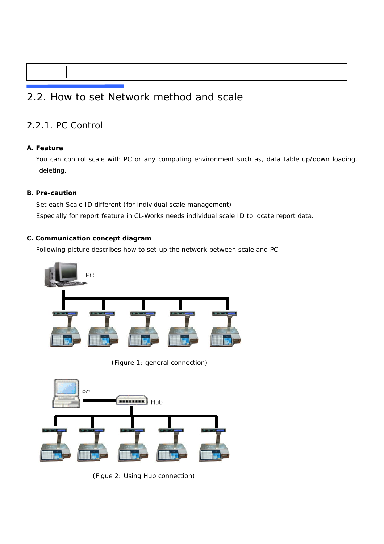### 2.2. How to set Network method and scale

### 2.2.1. PC Control

#### **A. Feature**

You can control scale with PC or any computing environment such as, data table up/down loading, deleting.

#### **B. Pre-caution**

Set each Scale ID different (for individual scale management) Especially for report feature in CL-Works needs individual scale ID to locate report data.

#### **C. Communication concept diagram**

Following picture describes how to set-up the network between scale and PC



(Figure 1: general connection)



(Figue 2: Using Hub connection)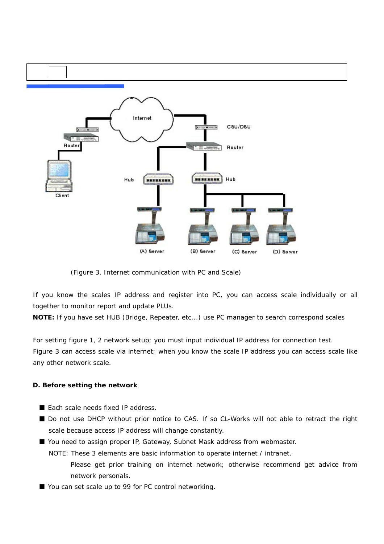

(Figure 3. Internet communication with PC and Scale)

If you know the scales IP address and register into PC, you can access scale individually or all together to monitor report and update PLUs.

**NOTE:** If you have set HUB (Bridge, Repeater, etc...) use PC manager to search correspond scales

For setting figure 1, 2 network setup; you must input individual IP address for connection test. Figure 3 can access scale via internet; when you know the scale IP address you can access scale like any other network scale.

#### **D. Before setting the network**

- Fach scale needs fixed IP address.
- Do not use DHCP without prior notice to CAS. If so CL-Works will not able to retract the right scale because access IP address will change constantly.

■ You need to assign proper IP, Gateway, Subnet Mask address from webmaster.

NOTE: These 3 elements are basic information to operate internet / intranet.

- Please get prior training on internet network; otherwise recommend get advice from network personals.
- You can set scale up to 99 for PC control networking.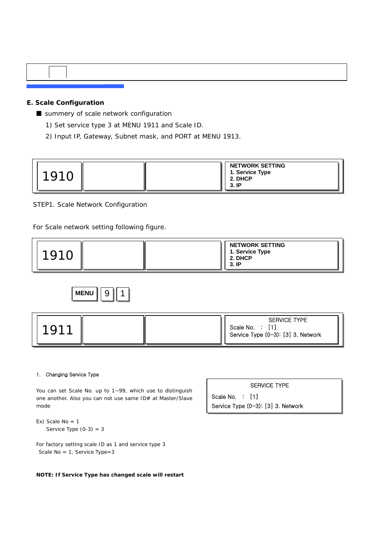#### **E. Scale Configuration**

■ summery of scale network configuration

- 1) Set service type 3 at MENU 1911 and Scale ID.
- 2) Input IP, Gateway, Subnet mask, and PORT at MENU 1913.

| 101 <sup>o</sup> |  |  | <b>NETWORK SETTING</b><br>1. Service Type<br>2. DHCP<br>3. IP |
|------------------|--|--|---------------------------------------------------------------|
|------------------|--|--|---------------------------------------------------------------|

STEP1. Scale Network Configuration

For Scale network setting following figure.







#### 1. Changing Service Type

You can set Scale No. up to 1~99, which use to distinguish one another. Also you can not use same ID# at Master/Slave mode

```
Ex) Scale No = 1 
   Service Type (0-3) = 3
```
For factory setting scale ID as 1 and service type 3 Scale No = 1, Service Type=3

**NOTE: If Service Type has changed scale will restart**

SERVICE TYPE

Scale No. : [1] Service Type (0-3): [3] 3. Network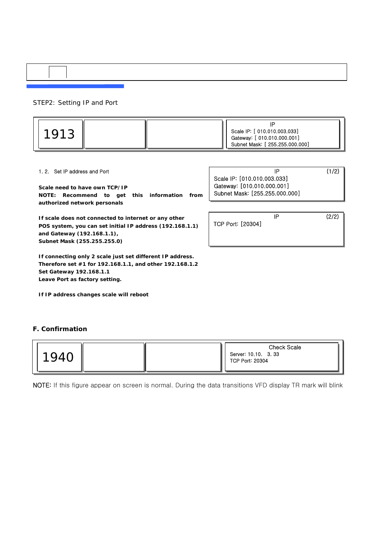STEP2: Setting IP and Port

| ◡ |  | Scale IP: [ 010.010.003.033]<br>Gateway: [ 010.010.000.001]<br>Subnet Mask: [ 255.255.000.000] |
|---|--|------------------------------------------------------------------------------------------------|
|   |  |                                                                                                |

#### 1. 2. Set IP address and Port

**Scale need to have own TCP/IP NOTE: Recommend to get this information from authorized network personals** 

**If scale does not connected to internet or any other POS system, you can set initial IP address (192.168.1.1) and Gateway (192.168.1.1), Subnet Mask (255.255.255.0)** 

**If connecting only 2 scale just set different IP address. Therefore set #1 for 192.168.1.1, and other 192.168.1.2 Set Gateway 192.168.1.1 Leave Port as factory setting.** 

**If IP address changes scale will reboot**

#### **F. Confirmation**



NOTE: If this figure appear on screen is normal. During the data transitions VFD display TR mark will blink

 $IP$  (1/2) Scale IP: [010.010.003.033] Gateway: [010.010.000.001] Subnet Mask: [255.255.000.000]

 $IP$  (2/2) TCP Port: [20304]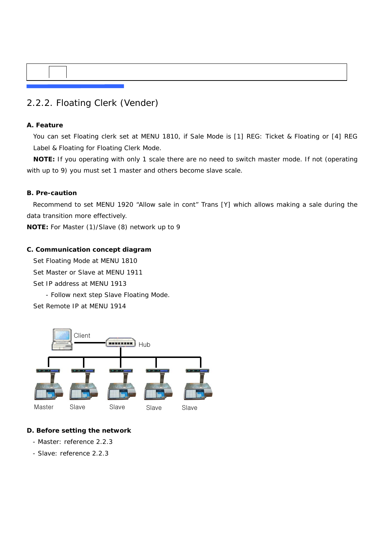### 2.2.2. Floating Clerk (Vender)

#### **A. Feature**

You can set Floating clerk set at MENU 1810, if Sale Mode is [1] REG: Ticket & Floating or [4] REG Label & Floating for Floating Clerk Mode.

**NOTE:** If you operating with only 1 scale there are no need to switch master mode. If not (operating with up to 9) you must set 1 master and others become slave scale.

#### **B. Pre-caution**

Recommend to set MENU 1920 "Allow sale in cont" Trans [Y] which allows making a sale during the data transition more effectively.

**NOTE:** For Master (1)/Slave (8) network up to 9

#### **C. Communication concept diagram**

Set Floating Mode at MENU 1810

Set Master or Slave at MENU 1911

- Set IP address at MENU 1913
	- Follow next step Slave Floating Mode.

Set Remote IP at MENU 1914



#### **D. Before setting the network**

- Master: reference 2.2.3
- Slave: reference 2.2.3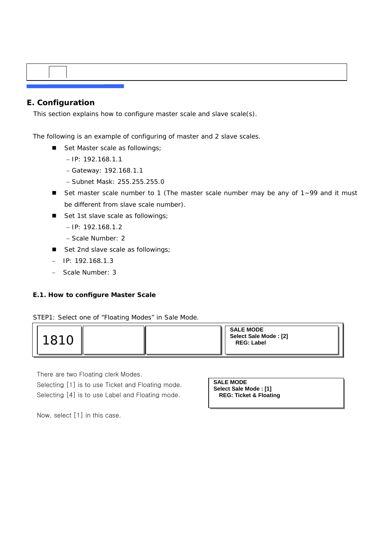#### **E. Configuration**

This section explains how to configure master scale and slave scale(s).

The following is an example of configuring of master and 2 slave scales.

- Set Master scale as followings;
	- − IP: 192.168.1.1
	- − Gateway: 192.168.1.1
	- − Subnet Mask: 255.255.255.0
- Set master scale number to 1 (The master scale number may be any of 1~99 and it must be different from slave scale number).
- Set 1st slave scale as followings;
	- − IP: 192.168.1.2
	- − Scale Number: 2
- Set 2nd slave scale as followings;
- − IP: 192.168.1.3
- − Scale Number: 3

#### **E.1. How to configure Master Scale**

STEP1: Select one of "Floating Modes" in Sale Mode.



There are two Floating clerk Modes.

Selecting [1] is to use Ticket and Floating mode. Selecting [4] is to use Label and Floating mode.

**SALE MODE Select Sale Mode : [1] REG: Ticket & Floating**

Now, select [1] in this case.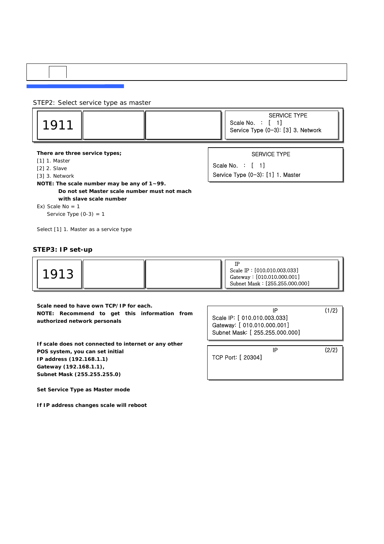#### STEP2: Select service type as master

**There are three service types;** 

- [1] 1. Master
- [2] 2. Slave
- [3] 3. Network
- **NOTE: The scale number may be any of 1~99.** 
	- **Do not set Master scale number must not mach with slave scale number**
- Ex) Scale  $No = 1$

Service Type  $(0-3) = 1$ 

Select [1] 1. Master as a service type

#### **STEP3: IP set-up**

|--|

**Scale need to have own TCP/IP for each. NOTE: Recommend to get this information from authorized network personals** 

**If scale does not connected to internet or any other POS system, you can set initial IP address (192.168.1.1) Gateway (192.168.1.1), Subnet Mask (255.255.255.0)** 

**Set Service Type as Master mode** 

**If IP address changes scale will reboot**

 $IP$  (1/2) Scale IP: [ 010.010.003.033] Gateway: [ 010.010.000.001] Subnet Mask: [ 255.255.000.000]

TCP Port: [ 20304]

 $IP$  (2/2)

SERVICE TYPE

Scale No. : [ 1] Service Type (0-3): [1] 1. Master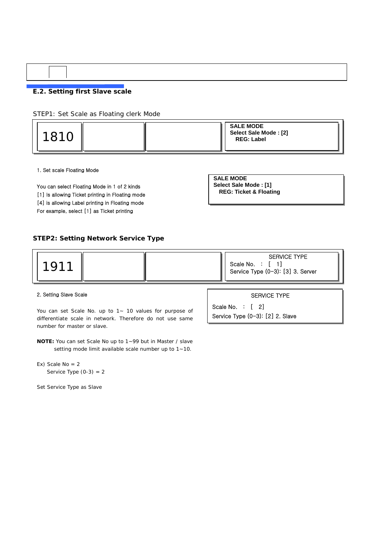#### **E.2. Setting first Slave scale**

STEP1: Set Scale as Floating clerk Mode

| 1810 |  | <b>SALE MODE</b><br>Select Sale Mode: [2]<br><b>REG: Label</b> |
|------|--|----------------------------------------------------------------|
|      |  |                                                                |

1. Set scale Floating Mode

You can select Floating Mode in 1 of 2 kinds [1] Is allowing Ticket printing in Floating mode [4] is allowing Label printing in Floating mode For example, select [1] as Ticket printing

| <b>SALE MODE</b>                  |
|-----------------------------------|
| Select Sale Mode: [1]             |
| <b>REG: Ticket &amp; Floating</b> |

#### **STEP2: Setting Network Service Type**

| 191 |  | <b>SERVICE TYPE</b><br>Scale No. :<br>Service Type (0-3): [3] 3. Server |
|-----|--|-------------------------------------------------------------------------|
|     |  |                                                                         |

#### 2. Setting Slave Scale

You can set Scale No. up to 1~ 10 values for purpose of differentiate scale in network. Therefore do not use same number for master or slave.

**NOTE:** You can set Scale No up to 1~99 but in Master / slave setting mode limit available scale number up to 1~10.

Ex) Scale No = 2 Service Type  $(0-3) = 2$ 

Set Service Type as Slave

SERVICE TYPE

Scale No. : [ 2] Service Type (0-3): [2] 2. Slave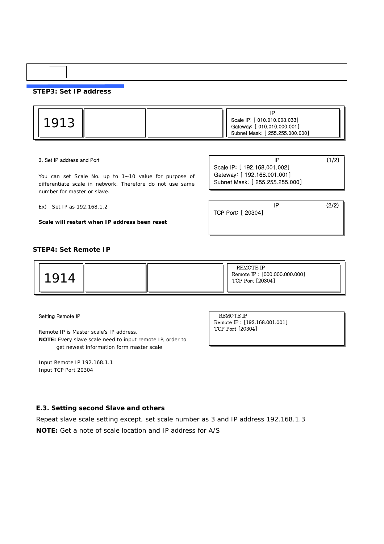#### **STEP3: Set IP address**

| ч |  |  | Scale IP: [ 010.010.003.033]<br>Gateway: [ 010.010.000.001]<br>Subnet Mask: [ 255.255.000.000] |
|---|--|--|------------------------------------------------------------------------------------------------|
|---|--|--|------------------------------------------------------------------------------------------------|

#### 3. Set IP address and Port

You can set Scale No. up to 1~10 value for purpose of differentiate scale in network. Therefore do not use same number for master or slave.

Ex) Set IP as 192.168.1.2

**Scale will restart when IP address been reset**

| IP                              | (1/2) |
|---------------------------------|-------|
| Scale IP: [ 192.168.001.002]    |       |
| Gateway: [ 192.168.001.001]     |       |
| Subnet Mask: [ 255.255.255.000] |       |

TCP Port: [ 20304]

IP (2/2)

#### **STEP4: Set Remote IP**



#### Setting Remote IP

Remote IP is Master scale's IP address.

**NOTE:** Every slave scale need to input remote IP, order to get newest information form master scale

Input Remote IP 192.168.1.1 Input TCP Port 20304

REMOTE IP Remote IP : [192.168.001.001] TCP Port [20304]

#### **E.3. Setting second Slave and others**

Repeat slave scale setting except, set scale number as 3 and IP address 192.168.1.3

**NOTE:** Get a note of scale location and IP address for A/S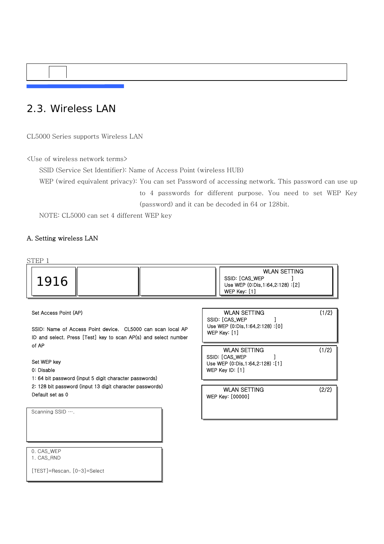### 2.3. Wireless LAN

CL5000 Series supports Wireless LAN

<Use of wireless network terms>

SSID (Service Set Identifier): Name of Access Point (wireless HUB)

WEP (wired equivalent privacy): You can set Password of accessing network. This password can use up to 4 passwords for different purpose. You need to set WEP Key (password) and it can be decoded in 64 or 128bit.

NOTE: CL5000 can set 4 different WEP key

#### A. Setting wireless LAN



1. CAS\_RND

[TEST]=Rescan, [0-3]=Select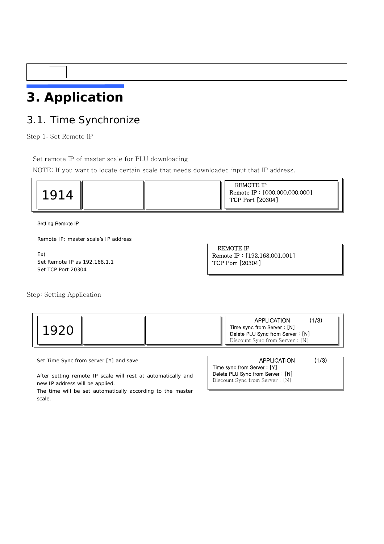## **3. Application**

### 3.1. Time Synchronize

Step 1: Set Remote IP

Set remote IP of master scale for PLU downloading

NOTE: If you want to locate certain scale that needs downloaded input that IP address.

| ◡ | REMOTE IP<br>Remote IP: [000.000.000.000]<br>TCP Port [20304] |
|---|---------------------------------------------------------------|
|---|---------------------------------------------------------------|

#### Setting Remote IP

Remote IP: master scale's IP address

```
Ex) 
Set Remote IP as 192.168.1.1 
Set TCP Port 20304
```
REMOTE IP Remote IP : [192.168.001.001] TCP Port [20304]

Step: Setting Application



Set Time Sync from server [Y] and save

After setting remote IP scale will rest at automatically and new IP address will be applied.

The time will be set automatically according to the master scale.

| <b>APPLICATION</b>                | (1/3) |
|-----------------------------------|-------|
| Time sync from Server: [Y]        |       |
| Delete PLU Sync from Server: [N]  |       |
| Discount Sync from Server $: [N]$ |       |
|                                   |       |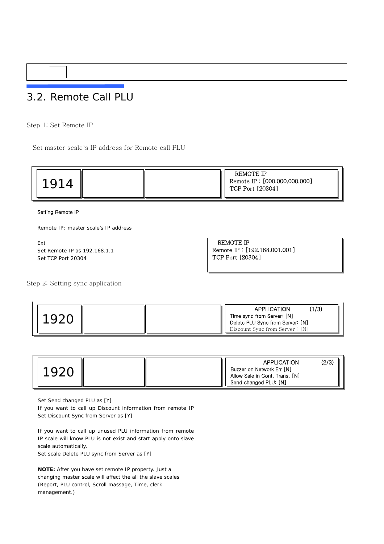### 3.2. Remote Call PLU

Step 1: Set Remote IP

Set master scale's IP address for Remote call PLU



Setting Remote IP

Remote IP: master scale's IP address

Ex) Set Remote IP as 192.168.1.1 Set TCP Port 20304

REMOTE IP Remote IP : [192.168.001.001] TCP Port [20304]

Step 2: Setting sync application



|  | <b>APPLICATION</b>                                                                   | (2/3) |
|--|--------------------------------------------------------------------------------------|-------|
|  | Buzzer on Network Err [N]<br>Allow Sale in Cont. Trans. [N]<br>Send changed PLU: [N] |       |

Set Send changed PLU as [Y]

If you want to call up Discount information from remote IP Set Discount Sync from Server as [Y]

If you want to call up unused PLU information from remote IP scale will know PLU is not exist and start apply onto slave scale automatically.

Set scale Delete PLU sync from Server as [Y]

**NOTE:** After you have set remote IP property. Just a changing master scale will affect the all the slave scales (Report, PLU control, Scroll massage, Time, clerk management.)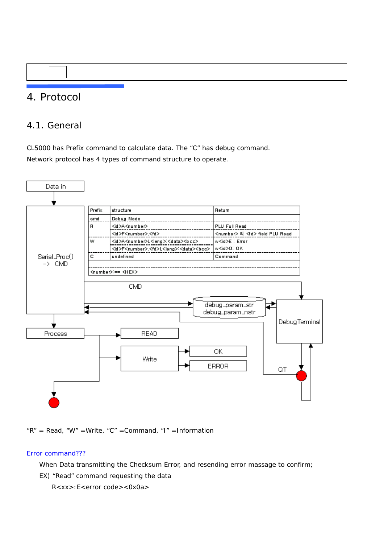### 4. Protocol

#### 4.1. General

CL5000 has Prefix command to calculate data. The "C" has debug command. Network protocol has 4 types of command structure to operate.



" $R'' = Read$ , " $W'' = Write$ , " $C'' = Command$ , "I" =Information

#### Error command???

When Data transmitting the Checksum Error, and resending error massage to confirm;

EX) "Read" command requesting the data

R<xx>:E<error code><0x0a>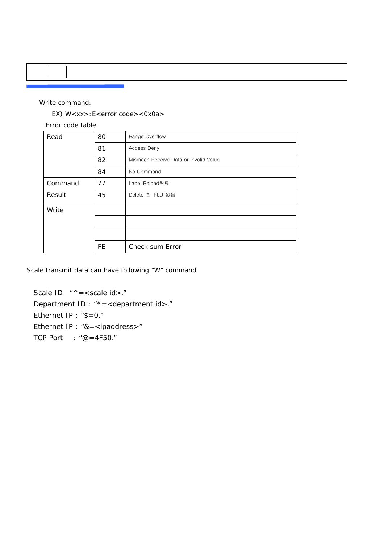#### Write command:

EX) W<xx>:E<error code><0x0a>

Error code table

| Read    | 80        | Range Overflow                        |
|---------|-----------|---------------------------------------|
|         | 81        | Access Deny                           |
|         | 82        | Mismach Receive Data or Invalid Value |
|         | 84        | No Command                            |
| Command | 77        | Label Reload완료                        |
| Result  | 45        | Delete 할 PLU 없음                       |
| Write   |           |                                       |
|         |           |                                       |
|         |           |                                       |
|         | <b>FE</b> | Check sum Error                       |

Scale transmit data can have following "W" command

Scale  $ID$  " $^{\wedge}$  = < scale id >." Department ID : "\*=<department id>." Ethernet IP : "\$=0." Ethernet IP : "&=<ipaddress>" TCP Port : "@=4F50."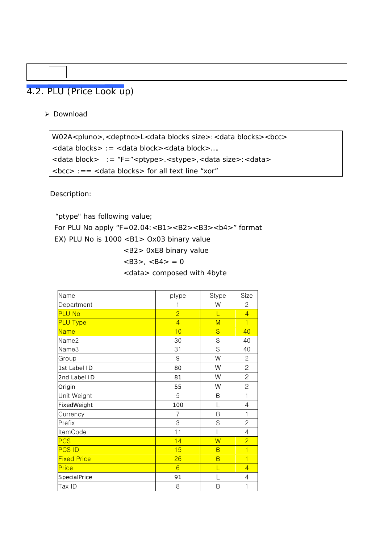### 4.2. PLU (Price Look up)

¾ Download

```
W02A<pluno>,<deptno>L<data blocks size>:<data blocks><bcc> 
<data blocks> := <data block><data block>…. 
<data block> := "F="<ptype>.<stype>,<data size>:<data>
```
Description:

 "ptype" has following value; For PLU No apply "F=02.04:<B1><B2><B3><b4>" format EX) PLU No is 1000 <B1> Ox03 binary value <B2> 0xE8 binary value  $<$ B3>,  $<$ B4> = 0

<data> composed with 4byte

| Name               | ptype          | Stype | Size           |
|--------------------|----------------|-------|----------------|
| Department         | 1              | W     | 2              |
| <b>PLU No</b>      | $\overline{2}$ | L     | $\overline{4}$ |
| <b>PLU Type</b>    | $\overline{4}$ | M     | $\overline{1}$ |
| <b>Name</b>        | 10             | S     | 40             |
| Name2              | 30             | S     | 40             |
| Name3              | 31             | S     | 40             |
| Group              | 9              | W     | $\mathbf{2}$   |
| 1st Label ID       | 80             | W     | 2              |
| 2nd Label ID       | 81             | W     | $\mathbf{2}$   |
| Origin             | 55             | W     | $\overline{c}$ |
| Unit Weight        | 5              | B     | $\mathbf{1}$   |
| FixedWeight        | 100            | L     | 4              |
| Currency           | 7              | B     | 1              |
| Prefix             | 3              | S     | $\overline{2}$ |
| <b>ItemCode</b>    | 11             | L     | $\overline{4}$ |
| <b>PCS</b>         | 14             | W     | $\overline{2}$ |
| <b>PCS ID</b>      | 15             | B     | $\mathbf{1}$   |
| <b>Fixed Price</b> | 26             | B     | $\overline{1}$ |
| Price              | 6              | L     | $\overline{4}$ |
| SpecialPrice       | 91             |       | $\overline{4}$ |
| Tax ID             | 8              | B     | 1              |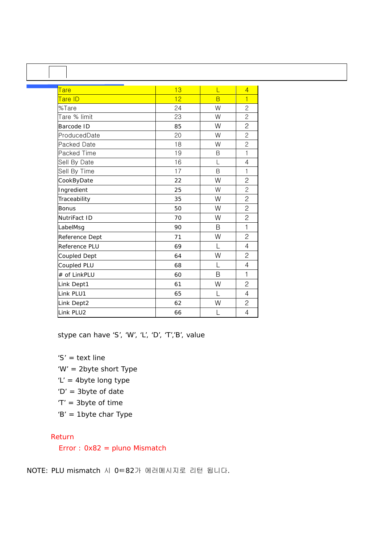| $\mathbf{I}$   |    |                |                |
|----------------|----|----------------|----------------|
| <u>Tare</u>    | 13 | L              | $\overline{4}$ |
| Tare ID        | 12 | $\overline{B}$ | $\overline{1}$ |
| %Tare          | 24 | W              | $\overline{c}$ |
| Tare % limit   | 23 | W              | $\overline{c}$ |
| Barcode ID     | 85 | W              | $\overline{c}$ |
| ProducedDate   | 20 | W              | $\overline{2}$ |
| Packed Date    | 18 | W              | $\overline{2}$ |
| Packed Time    | 19 | Β              | $\mathbf{1}$   |
| Sell By Date   | 16 | L              | $\overline{4}$ |
| Sell By Time   | 17 | B              | 1              |
| CookByDate     | 22 | W              | $\overline{c}$ |
| Ingredient     | 25 | W              | $\overline{c}$ |
| Traceability   | 35 | W              | $\overline{c}$ |
| <b>Bonus</b>   | 50 | W              | $\overline{c}$ |
| NutriFact ID   | 70 | W              | $\overline{c}$ |
| LabelMsg       | 90 | B              | $\mathbf{1}$   |
| Reference Dept | 71 | W              | $\overline{c}$ |
| Reference PLU  | 69 | L              | 4              |
| Coupled Dept   | 64 | W              | $\overline{c}$ |
| Coupled PLU    | 68 | L              | 4              |
| # of LinkPLU   | 60 | B              | $\mathbf 1$    |
| Link Dept1     | 61 | W              | $\overline{2}$ |
| Link PLU1      | 65 | L              | 4              |
| Link Dept2     | 62 | W              | $\overline{c}$ |
| Link PLU2      | 66 |                | $\overline{4}$ |

stype can have 'S', 'W', 'L', 'D', 'T','B', value

'S' = text line

'W' = 2byte short Type

- 'L' = 4byte long type
- 'D' = 3byte of date
- 'T' = 3byte of time
- 'B' = 1byte char Type

#### Return

Error : 0x82 = pluno Mismatch

NOTE: PLU mismatch 시 0ㅌ82가 에러메시지로 리턴 됩니다.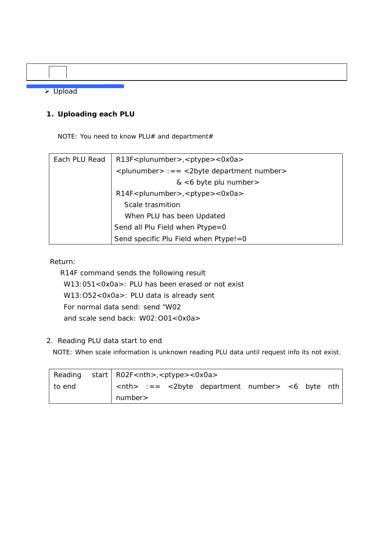¾ Upload

#### **1. Uploading each PLU**

NOTE: You need to know PLU# and department#

| Each PLU Read | R13F <plunumber>,<ptype>&lt;0x0a&gt;</ptype></plunumber> |
|---------------|----------------------------------------------------------|
|               | $\le$ plunumber> :== $\le$ 2byte department number>      |
|               | $<6$ byte plu number >                                   |
|               | $R14F$ < plunumber >, < ptype > < 0x0a >                 |
|               | Scale trasmition                                         |
|               | When PLU has been Updated                                |
|               | Send all Plu Field when Ptype=0                          |
|               | Send specific Plu Field when Ptype!=0                    |

Return:

 R14F command sends the following result W13:051<0x0a>: PLU has been erased or not exist W13:O52<0x0a>: PLU data is already sent For normal data send: send "W02 and scale send back: W02:O01<0x0a>

#### 2. Reading PLU data start to end

NOTE: When scale information is unknown reading PLU data until request info its not exist.

| Reading start   RO2F < nth > , < ptype > < 0x0a > |                  |  |                                                                        |  |  |
|---------------------------------------------------|------------------|--|------------------------------------------------------------------------|--|--|
| ∣ to end                                          |                  |  | $\vert$ <nth> :== &lt;2byte department number&gt; &lt;6 byte nth</nth> |  |  |
|                                                   | $\vert$ number > |  |                                                                        |  |  |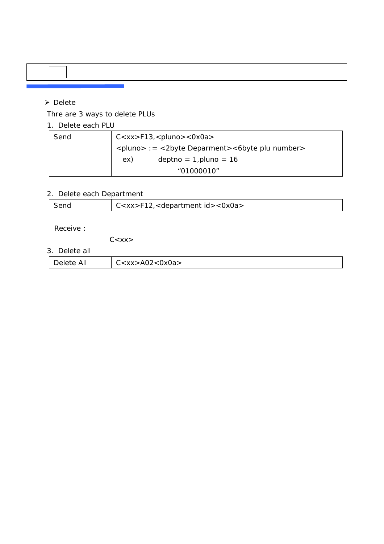#### ¾ Delete

Thre are 3 ways to delete PLUs

m.

1. Delete each PLU

| Send | $C < x x > F13, <$ pluno $> <0x0a>$                                |
|------|--------------------------------------------------------------------|
|      | <pluno> := &lt;2byte Deparment&gt;&lt;6byte plu number&gt;</pluno> |
|      | $deptho = 1, pluno = 16$<br>ex)                                    |
|      | "01000010"                                                         |

#### 2. Delete each Department

| Send | $\vert$ C <xx>F12,<department id="">&lt;0x0a&gt;</department></xx> |
|------|--------------------------------------------------------------------|

Receive :

 $C < XX >$ 

3. Delete all

| All<br>7>A02<0x0a><br><b>181818</b> |
|-------------------------------------|
|-------------------------------------|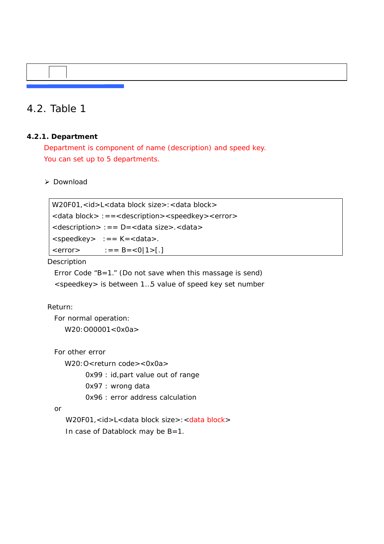### 4.2. Table 1

#### **4.2.1. Department**

 Department is component of name (description) and speed key. You can set up to 5 departments.

#### ¾ Download

W20F01,<id>L<data block size>:<data block> <data block> :==<description><speedkey><error> <description> :== D=<data size>.<data>  $\leq$ speedkey>  $:=$  =  $K = \leq$ data>.  $\langle error \rangle$  :== B= $\langle 0|1 \rangle$ [.]

#### Description

Error Code "B=1." (Do not save when this massage is send) <speedkey> is between 1…5 value of speed key set number

#### Return:

 For normal operation: W20:O00001<0x0a>

```
 For other error
```
W20: O<return code><0x0a>

0x99 : id,part value out of range

0x97 : wrong data

0x96 : error address calculation

or

W20F01,<id>L<data block size>:<data block> In case of Datablock may be B=1.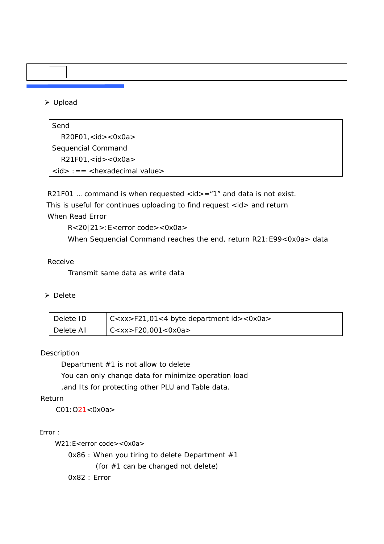#### ¾ Upload

Send R20F01,<id><0x0a> Sequencial Command R21F01,<id><0x0a> <id> :== <hexadecimal value>

R21F01 ... command is when requested  $\langle id \rangle = 1$ " and data is not exist. This is useful for continues uploading to find request <id> and return

#### When Read Error

R<20|21>:E<error code><0x0a>

When Sequencial Command reaches the end, return R21:E99<0x0a> data

#### Receive

Transmit same data as write data

#### ¾ Delete

| Delete ID  | C <xx>F21,01&lt;4 byte department id&gt;&lt;0x0a&gt;</xx> |
|------------|-----------------------------------------------------------|
| Delete All | CCxx > F20,001 < 0x0a >                                   |

#### Description

Department #1 is not allow to delete

You can only change data for minimize operation load

,and Its for protecting other PLU and Table data.

#### Return

C01:O21<0x0a>

Error :

W21:E<error code><0x0a>

0x86 : When you tiring to delete Department #1 (for #1 can be changed not delete) 0x82 : Error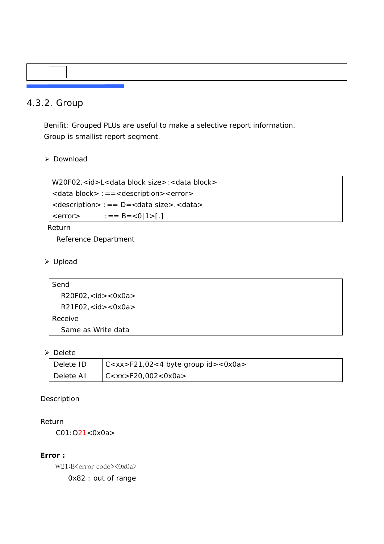#### 4.3.2. Group

 Benifit: Grouped PLUs are useful to make a selective report information. Group is smallist report segment.

#### ¾ Download

W20F02,<id>L<data block size>:<data block> <data block> :==<description><error> <description> :== D=<data size>.<data>  $\langle$  error > : = = B =  $\langle 0|1$  > [.]

#### Return

Reference Department

#### ¾ Upload

```
Send 
  R20F02,<id><0x0a> 
  R21F02,<id><0x0a> 
Receive 
  Same as Write data
```
#### ¾ Delete

| Delete ID  | $ C < x x > F$ 21,02<4 byte group id><0x0a> |
|------------|---------------------------------------------|
| Delete All | C < xx > F20,002 < 0x0a>                    |

#### Description

#### Return

C01:O21<0x0a>

#### **Error :**

W21:E<error code><0x0a> 0x82 : out of range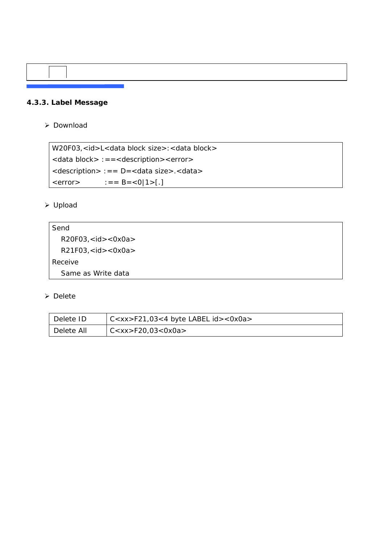#### **4.3.3. Label Message**

¾ Download

W20F03,<id>L<data block size>:<data block> <data block> :==<description><error> <description> :== D=<data size>.<data>  $\langle error \rangle$  :== B= $\langle 0|1 \rangle$ [.]

#### ¾ Upload

```
Send 
  R20F03, < id > <0x0a>R21F03,<id><0x0a> 
Receive 
  Same as Write data
```

| Delete ID  | $C <$ xx>F21,03<4 byte LABEL id><0x0a> |
|------------|----------------------------------------|
| Delete All | C < x x > F20,03 < 0x0a >              |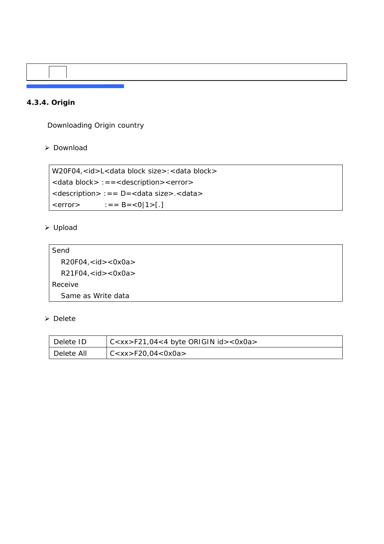#### **4.3.4. Origin**

Downloading Origin country

#### ¾ Download

W20F04,<id>L<data block size>:<data block> <data block> :==<description><error> <description> :== D=<data size>.<data>  $\langle error \rangle$  :== B= $\langle 0|1 \rangle$ [.]

#### ¾ Upload

| Send                  |  |
|-----------------------|--|
| R20F04, < id > <0x0a> |  |
| R21F04, < id > <0x0a> |  |
| Receive               |  |
| Same as Write data    |  |

| Delete ID  | $\vert$ C <xx>F21,04&lt;4 byte ORIGIN id&gt;&lt;0x0a&gt;</xx> |
|------------|---------------------------------------------------------------|
| Delete All | $C<$ xx>F20,04<0x0a>                                          |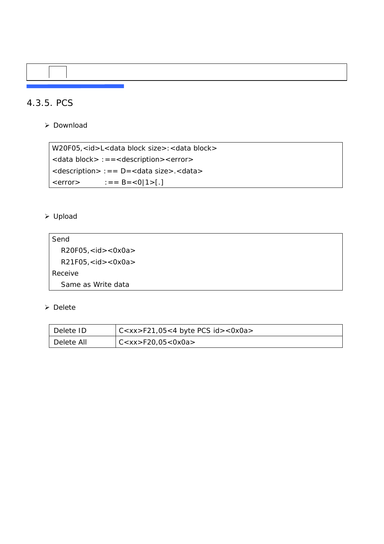### 4.3.5. PCS

¾ Download

W20F05,<id>L<data block size>:<data block> <data block> :==<description><error> <description> :== D=<data size>.<data>  $\langle error \rangle$  :== B= $\langle 0|1 \rangle$ [.]

#### ¾ Upload

| Send                  |  |
|-----------------------|--|
| R20F05, < id > <0x0a> |  |
| R21F05, < id > <0x0a> |  |
| Receive               |  |
| Same as Write data    |  |

| Delete ID  | $\sqrt{C}$ C <xx>F21,05&lt;4 byte PCS id&gt;&lt;0x0a&gt;</xx> |
|------------|---------------------------------------------------------------|
| Delete All | CCxx > F20,05 < 0x0a >                                        |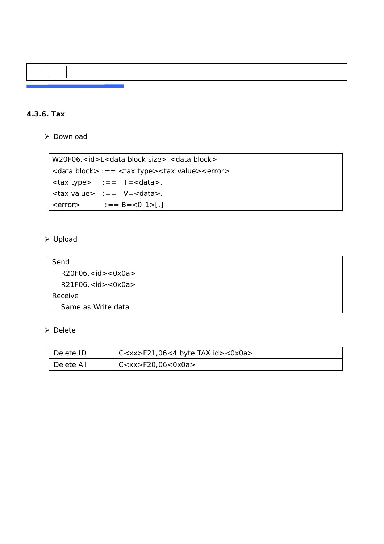

#### **4.3.6. Tax**

¾ Download

```
W20F06,<id>L<data block size>:<data block>
<data block> :== <tax type><tax value><error> 
\langle \text{tax type} \rangle :== T=\langle \text{data} \rangle.
<tax value> :== V=<data>. 
\langle error \rangle :== B=\langle 0|1 \rangle[.]
```
#### ¾ Upload

| Send                              |  |  |  |  |
|-----------------------------------|--|--|--|--|
| $R20F06$ , <id> &lt;0x0a&gt;</id> |  |  |  |  |
| R21F06, < id > <0x0a>             |  |  |  |  |
| Receive                           |  |  |  |  |
| Same as Write data                |  |  |  |  |

| Delete ID  | $\vert$ C <xx>F21,06&lt;4 byte TAX id&gt;&lt;0x0a&gt;</xx> |
|------------|------------------------------------------------------------|
| Delete All | CC < x x > F20,06 < 0x0a >                                 |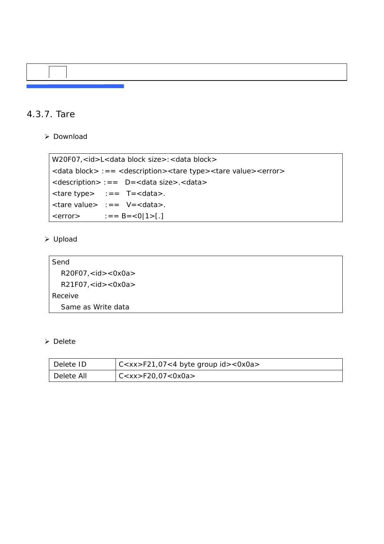#### 4.3.7. Tare

¾ Download

```
W20F07,<id>L<data block size>:<data block>
<data block> :== <description><tare type><tare value><error> 
<description> :== D=<data size>.<data> 
<tare type> :== T=<data>. 
<tare value> :== V=<data>. 
\langle error \rangle : = = B = \langle 0|1 \rangle [.]
```
#### ¾ Upload

```
Send 
  R20F07,<id><0x0a> 
  R21F07,<id><0x0a> 
Receive 
  Same as Write data
```

| Delete ID  | C <xx>F21,07&lt;4 byte group id&gt;&lt;0x0a&gt;</xx> |
|------------|------------------------------------------------------|
| Delete All | $C<$ xx>F20,07<0x0a>                                 |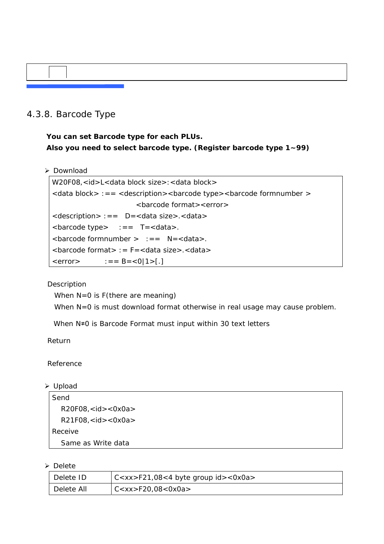### 4.3.8. Barcode Type

**You can set Barcode type for each PLUs. Also you need to select barcode type. (Register barcode type 1~99)** 

¾ Download

```
W20F08, <id>L<data block size>: <data block>
<data block> :== <description><barcode type><barcode formnumber > 
                         <barcode format><error> 
<description> :== D=<data size>.<data> 
\epsilon -barcode type> :== T=\epsilondata>.
<barcode formnumber > :== N=<data>. 
<barcode format> := F=<data size>.<data> 
\langle error \rangle :== B=\langle 0|1 \rangle[.]
```
Description

When N=0 is F(there are meaning)

When N=0 is must download format otherwise in real usage may cause problem.

When N≠0 is Barcode Format must input within 30 text letters

Return

Reference

¾ Upload

```
Send 
  R20F08, < id > <0x0a>R21F08,<id><0x0a> 
Receive 
  Same as Write data
```

| Delete ID  | $\vert$ C <xx>F21,08&lt;4 byte group id&gt;&lt;0x0a&gt;</xx> |
|------------|--------------------------------------------------------------|
| Delete All | C < xx > F20,08 < 0x0a>                                      |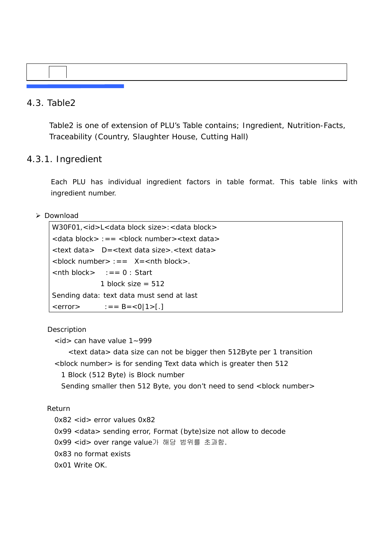### 4.3. Table2

Table2 is one of extension of PLU's Table contains; Ingredient, Nutrition-Facts, Traceability (Country, Slaughter House, Cutting Hall)

#### 4.3.1. Ingredient

 Each PLU has individual ingredient factors in table format. This table links with ingredient number.

#### ¾ Download

```
W30F01,<id>L<data block size>:<data block>
<data block> :== <block number><text data> 
<text data> D=<text data size>.<text data> 
\ltblock number> := X = \ltnth block>.
\langlenth block> : = = 0 : Start
              1 block size = 512Sending data: text data must send at last 
\langle error > : = = B = \langle 0|1 \rangle [.]
```
#### **Description**

 $\langle$ id > can have value 1~999

<text data> data size can not be bigger then 512Byte per 1 transition <block number> is for sending Text data which is greater then 512

1 Block (512 Byte) is Block number

Sending smaller then 512 Byte, you don't need to send <br/>block number>

#### Return

0x82 <id> error values 0x82

0x99 <data> sending error, Format (byte)size not allow to decode

0x99 <id> over range value가 해당 범위를 초과함.

0x83 no format exists

```
 0x01 Write OK.
```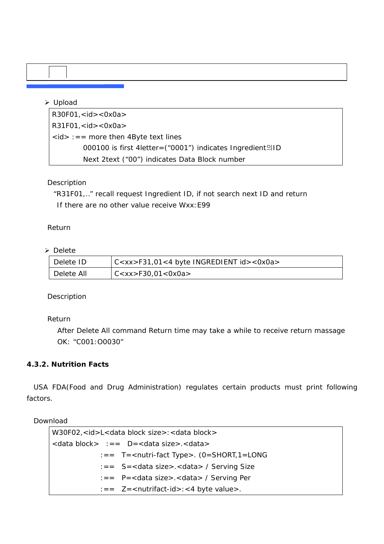### ¾ Upload

 $R30F01, < id > <0x0a>$  $R31F01, < id > <0x0a>$  $\langle$ id> :== more then 4Byte text lines 000100 is first 4letter=("0001") indicates Ingredient의ID Next 2text ("00") indicates Data Block number

#### Description

"R31F01,.." recall request Ingredient ID, if not search next ID and return If there are no other value receive Wxx:E99

#### Return

#### ¾ Delete

| Delete ID  | C <xx>F31,01&lt;4 byte INGREDIENT id&gt;&lt;0x0a&gt;</xx> |
|------------|-----------------------------------------------------------|
| Delete All | CCxx > F30,01 < 0x0a >                                    |

#### Description

#### Return

 After Delete All command Return time may take a while to receive return massage OK: "C001:O0030"

#### **4.3.2. Nutrition Facts**

USA FDA(Food and Drug Administration) regulates certain products must print following factors.

Download

| W30F02, <id>L<data block="" size="">:<data block=""></data></data></id>                                                                                                                                                                                                                                                |
|------------------------------------------------------------------------------------------------------------------------------------------------------------------------------------------------------------------------------------------------------------------------------------------------------------------------|
| $\lambda$ <data block=""> :== <math>D = \lambda</math> <math>\lambda</math> size&gt;. <data></data></data>                                                                                                                                                                                                             |
| $\mathsf{I} = \mathsf{T} = \mathsf{r}$ T = $\mathsf{r}$ = $\mathsf{r}$ = $\mathsf{r}$ = $\mathsf{r}$ = $\mathsf{r}$ = $\mathsf{r}$ = $\mathsf{r}$ = $\mathsf{r}$ = $\mathsf{r}$ = $\mathsf{r}$ = $\mathsf{r}$ = $\mathsf{r}$ = $\mathsf{r}$ = $\mathsf{r}$ = $\mathsf{r}$ = $\mathsf{r}$ = $\mathsf{r}$ = $\mathsf{r}$ |
| $\mathsf{S} = \mathsf{S} = \mathsf{c}$ data size > $\mathsf{c}$ data > / Serving Size                                                                                                                                                                                                                                  |
| $\epsilon =$ P= <data size="">.<data> / Serving Per</data></data>                                                                                                                                                                                                                                                      |
| $\mathsf{I} = 2$ = $\mathsf{Z}$ = $\mathsf{Z}$ = $\mathsf{Z}$ = $\mathsf{Z}$ = $\mathsf{Z}$ = $\mathsf{Z}$ = $\mathsf{Z}$ = $\mathsf{Z}$ = $\mathsf{Z}$ = $\mathsf{Z}$ = $\mathsf{Z}$ = $\mathsf{Z}$ = $\mathsf{Z}$ = $\mathsf{Z}$ = $\mathsf{Z}$ = $\mathsf{Z}$ = $\mathsf{Z}$ = $\mathsf{Z}$ = $\mathsf{Z}$          |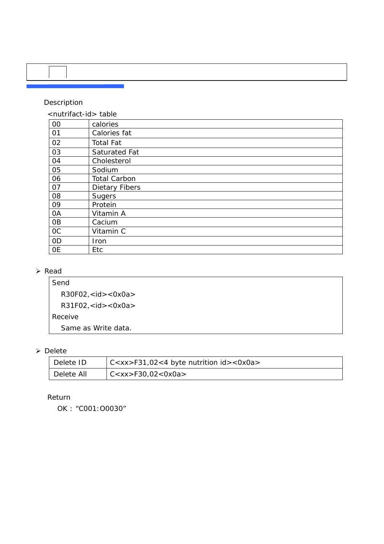#### Description

| 00             | calories              |
|----------------|-----------------------|
| 01             | Calories fat          |
| 02             | <b>Total Fat</b>      |
| 03             | Saturated Fat         |
| 04             | Cholesterol           |
| 05             | Sodium                |
| 06             | <b>Total Carbon</b>   |
| 07             | <b>Dietary Fibers</b> |
| 08             | Sugers                |
| 09             | Protein               |
| 0A             | Vitamin A             |
| 0 <sub>B</sub> | Cacium                |
| <b>OC</b>      | Vitamin C             |
| 0 <sub>D</sub> | Iron                  |
| <b>OE</b>      | Etc                   |

#### ¾ Read

Send R30F02,<id><0x0a> R31F02,<id><0x0a> Receive Same as Write data.

#### ¾ Delete

| Delete ID  | $\vert$ C <xx>F31,02&lt;4 byte nutrition id&gt;&lt;0x0a&gt;</xx> |
|------------|------------------------------------------------------------------|
| Delete All | CCxx > F30,02 < 0x0a >                                           |

#### Return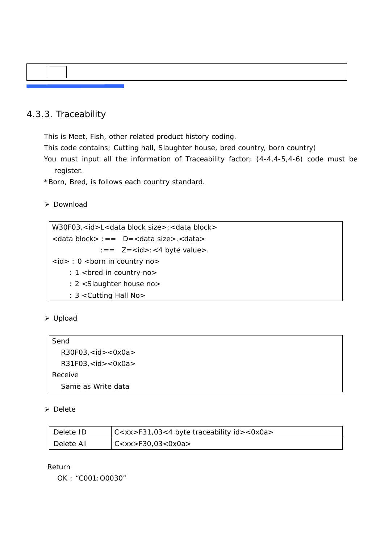### 4.3.3. Traceability

This is Meet, Fish, other related product history coding.

This code contains; Cutting hall, Slaughter house, bred country, born country)

 You must input all the information of Traceability factor; (4-4,4-5,4-6) code must be register.

\*Born, Bred, is follows each country standard.

#### ¾ Download

```
W30F03,<id>L<data block size>:<data block>
<data block> :== D=<data size>.<data> 
              :== Z = <i>id</i> > : <i>4</i> byte value >.<id> : 0 <br/> <br/>born in country no>
    : 1 <bred in country no>
      : 2 <Slaughter house no> 
      : 3 <Cutting Hall No>
```
¾ Upload

| Send                               |  |
|------------------------------------|--|
| $R30F03$ , <id> &lt;0x0a&gt;</id>  |  |
| $R31F03$ , <id> &lt;0x0a &gt;</id> |  |
| Receive                            |  |
| Same as Write data                 |  |

#### ¾ Delete

| Delete ID  | $ C < x x > F31,03 < 4$ byte traceability id $> <$ 0x0a $>$ |
|------------|-------------------------------------------------------------|
| Delete All | C < x x > F 30,03 < 0 x 0 a >                               |

#### Return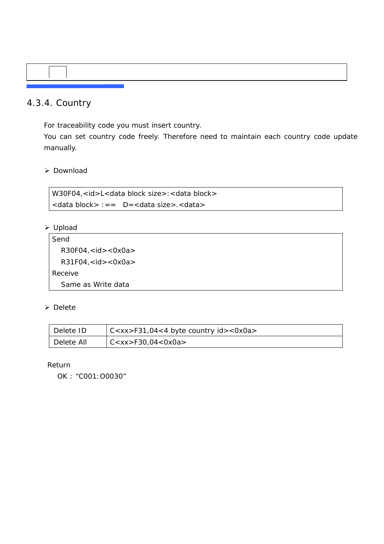### 4.3.4. Country

For traceability code you must insert country.

 You can set country code freely. Therefore need to maintain each country code update manually.

¾ Download

W30F04,<id>L<data block size>:<data block> <data block> :== D=<data size>.<data>

¾ Upload

```
Send 
  R30F04, <id> <0x0a>
  R31F04, < id > <0x0a>Receive 
  Same as Write data
```
¾ Delete

| Delete ID  | $\vert$ C <xx>F31,04&lt;4 byte country id&gt;&lt;0x0a&gt;</xx> |
|------------|----------------------------------------------------------------|
| Delete All | CCxx > F30,04 < 0x0a >                                         |

Return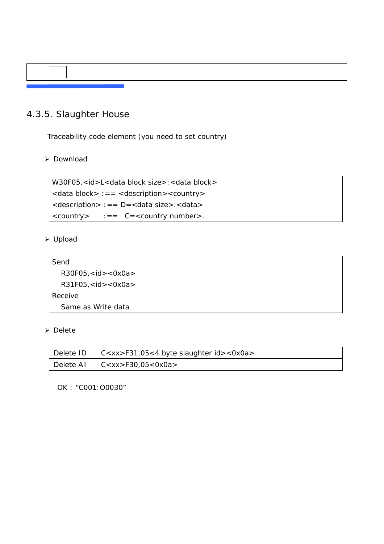### 4.3.5. Slaughter House

Traceability code element (you need to set country)

¾ Download

W30F05,<id>L<data block size>:<data block> <data block> :== <description><country> <description> :== D=<data size>.<data>  $\langle \text{country} \rangle$  :==  $C = \langle \text{country number} \rangle$ .

#### ¾ Upload

```
Send 
  R30F05,<id><0x0a> 
  R31F05,<id><0x0a> 
Receive 
  Same as Write data
```
#### ¾ Delete

| Delete ID $ C < x x > F31,05 < 4$ byte slaughter $id > 0x0a >$ |
|----------------------------------------------------------------|
| Delete All $\left $ C <xx>F30,05&lt;0x0a&gt;</xx>              |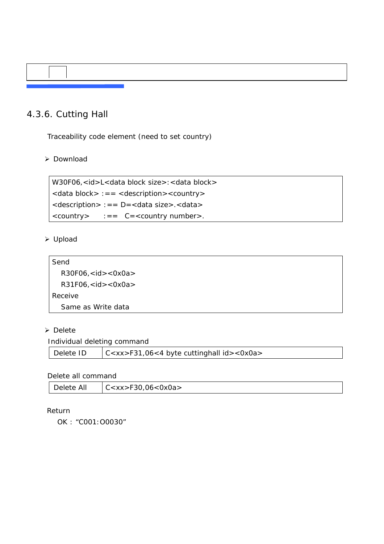### 4.3.6. Cutting Hall

Traceability code element (need to set country)

¾ Download

W30F06,<id>L<data block size>:<data block> <data block> :== <description><country> <description> :== D=<data size>.<data>  $\langle \text{country} \rangle$  :==  $C = \langle \text{country number} \rangle$ .

### ¾ Upload

| Send                               |
|------------------------------------|
| R30F06, < id > <0x0a>              |
| $R31F06$ , <id> &lt;0x0a &gt;</id> |
| Receive                            |
| Same as Write data                 |

#### ¾ Delete

Individual deleting command

| $\vert$ C <xx>F31,06&lt;4 byte cuttinghall id&gt;&lt;0x0a&gt;<br/>Delete ID</xx> |  |
|----------------------------------------------------------------------------------|--|
|----------------------------------------------------------------------------------|--|

Delete all command

| Delete All<br>$ C < xx>$ F30,06<0x0a> |
|---------------------------------------|
|---------------------------------------|

#### Return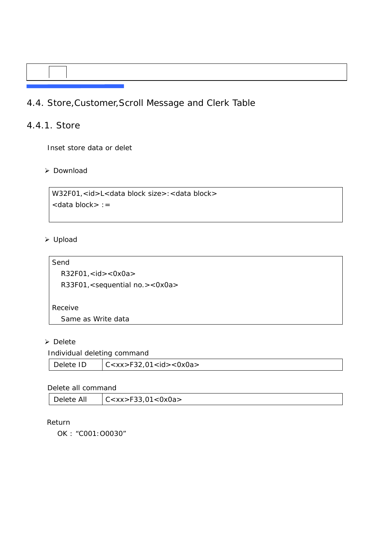### 4.4. Store,Customer,Scroll Message and Clerk Table

### 4.4.1. Store

Inset store data or delet

¾ Download

```
W32F01,<id>L<data block size>:<data block>
<data block> :=
```
#### ¾ Upload

Send R32F01,<id><0x0a> R33F01,<sequential no.><0x0a> Receive Same as Write data

#### ¾ Delete

#### Individual deleting command

| Delete ID | C < xx> F32,01 < id > <0x0a> |
|-----------|------------------------------|
|           |                              |

#### Delete all command

| C < x x > F 33,01 < 0 x 0 a ><br>Delete All |  |
|---------------------------------------------|--|
|---------------------------------------------|--|

#### Return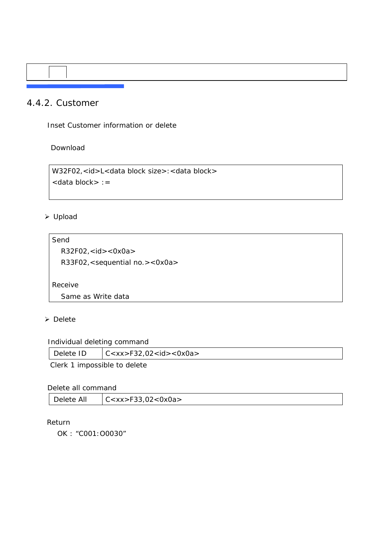### 4.4.2. Customer

Inset Customer information or delete

Download

W32F02,<id>L<data block size>:<data block> <data block> :=

### ¾ Upload

Send R32F02,<id><0x0a> R33F02,<sequential no.><0x0a> Receive

Same as Write data

#### ¾ Delete

Individual deleting command

| Delete ID | C < xx > F32,02 < id > <0x0a> |
|-----------|-------------------------------|
| -----     |                               |

Clerk 1 impossible to delete

#### Delete all command

| Delete All | C < x x > F 33,02 < 0 x 0 a > |
|------------|-------------------------------|
|------------|-------------------------------|

#### Return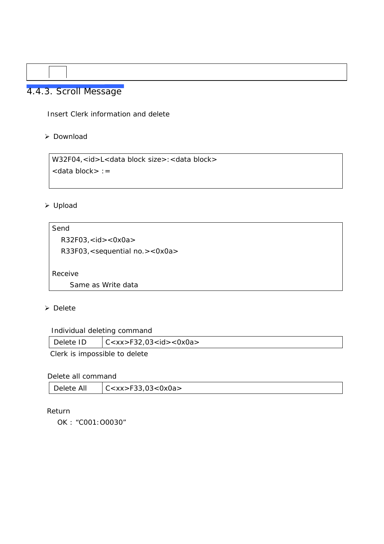# 4.4.3. Scroll Message

Insert Clerk information and delete

#### ¾ Download

W32F04,<id>L<data block size>:<data block> <data block> :=

#### ¾ Upload

Send R32F03,<id><0x0a> R33F03,<sequential no.><0x0a> Receive Same as Write data

#### ¾ Delete

Individual deleting command

| Delete ID | C < xx > F32,03 < id > <0x0a> |
|-----------|-------------------------------|
| ____      |                               |

Clerk is impossible to delete

#### Delete all command

| Delete All | C < x x > F33,03 < 0 x 0 a > |
|------------|------------------------------|
|------------|------------------------------|

#### Return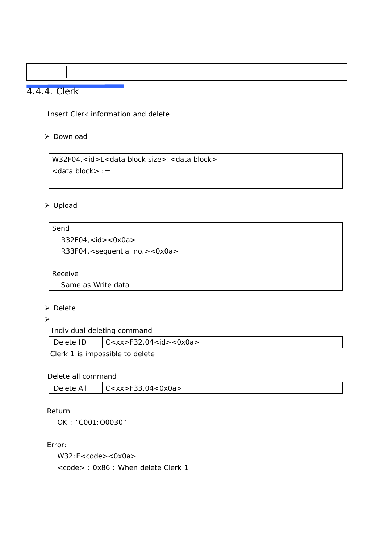### 4.4.4. Clerk

Insert Clerk information and delete

#### ¾ Download

W32F04,<id>L<data block size>:<data block> <data block> :=

#### ¾ Upload

#### Send

R32F04,<id><0x0a>

R33F04,<sequential no.><0x0a>

Receive

Same as Write data

#### ¾ Delete

 $\blacktriangleright$ 

Individual deleting command

| Delete ID | C < xx > F32,04 < id > <0x0a> |
|-----------|-------------------------------|
|           |                               |

Clerk 1 is impossible to delete

#### Delete all command

| Delete All | C < x x > F 33,04 < 0 x 0 a > |
|------------|-------------------------------|
|------------|-------------------------------|

#### Return

OK : "C001:O0030"

#### Error:

W32:E<code><0x0a>

scode>: 0x86: When delete Clerk 1</sup>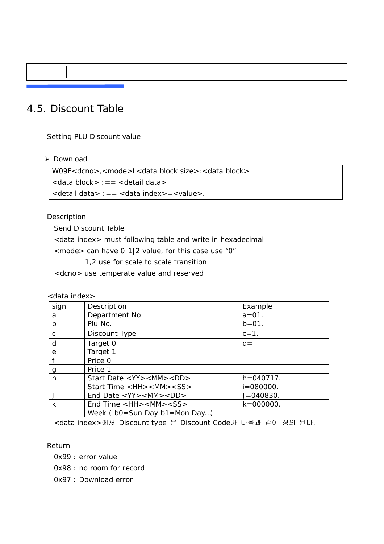# 4.5. Discount Table

Setting PLU Discount value

¾ Download

W09F<dcno>,<mode>L<data block size>:<data block> <data block> :== <detail data> <detail data> :== <data index>=<value>.

#### Description

Send Discount Table

<data index> must following table and write in hexadecimal

 $<$  mode> can have 0|1|2 value, for this case use "0"

1,2 use for scale to scale transition

<dcno> use temperate value and reserved

<data index>

| sign           | Description                                                         | Example        |
|----------------|---------------------------------------------------------------------|----------------|
| a              | Department No                                                       | $a = 01$ .     |
| $\mathsf{b}$   | Plu No.                                                             | $b = 01$ .     |
| C              | Discount Type                                                       | $c = 1$ .      |
| d              | Target 0                                                            | $d =$          |
| e              | Target 1                                                            |                |
| f              | Price 0                                                             |                |
| $\overline{g}$ | Price 1                                                             |                |
| h              | Start Date <yy><mm><dd></dd></mm></yy>                              | $h = 040717$ . |
| ۱i             | Start Time <hh><mm><ss></ss></mm></hh>                              | $i = 080000$ . |
|                | End Date $\langle YY \rangle \langle MM \rangle \langle DD \rangle$ | $J = 040830.$  |
| $\mathsf{k}$   | End Time <hh><mm><ss></ss></mm></hh>                                | $k = 000000$ . |
|                | Week ( $bo = Sun$ Day $b1 = Mon$ Day)                               |                |

<data index>에서 Discount type 은 Discount Code가 다음과 같이 정의 된다.

Return

0x99 : error value

0x98 : no room for record

0x97 : Download error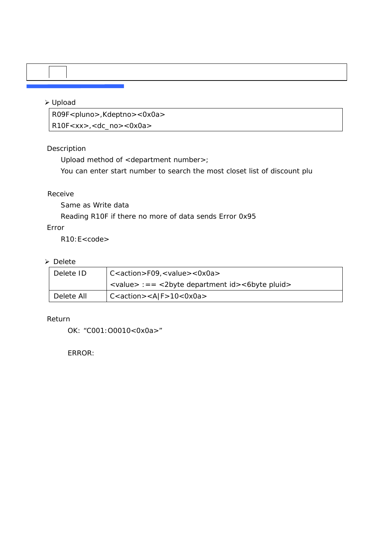#### ¾ Upload

R09F<pluno>,Kdeptno><0x0a> R10F<xx>,<dc\_no><0x0a>

#### Description

Upload method of <department number>;

You can enter start number to search the most closet list of discount plu

#### Receive

Same as Write data

Reading R10F if there no more of data sends Error 0x95

#### Error

R10:E<code></sup>

#### ¾ Delete

| Delete ID  | $C \lt \text{action} > F09$ , $\lt$ value $> \lt 0x0a$                                                               |
|------------|----------------------------------------------------------------------------------------------------------------------|
|            | $\langle \text{value} \rangle := \langle \text{2byte department id} \rangle$ = $\langle \text{6byte plural} \rangle$ |
| Delete All | $C \leq \text{action} > \lt A \mid F > 10 < 0 \times 0a \geq$                                                        |

#### Return

OK: "C001:O0010<0x0a>"

ERROR: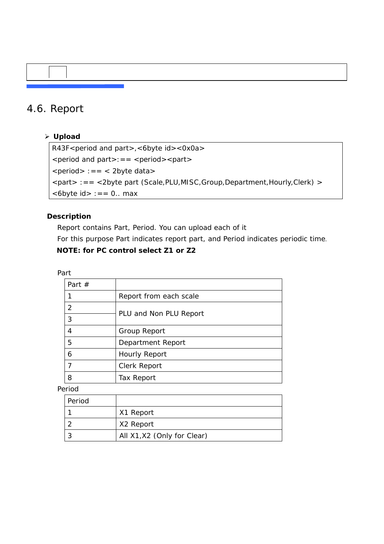## 4.6. Report

¾ **Upload** 

R43F<period and part>, <6byte id><0x0a>  $\le$  period and part  $>=$   $\le$  period  $\ge$   $\le$  part  $>$  $\le$  period $> := =$   $\le$  2byte data $>$ <part> :== <2byte part (Scale,PLU,MISC,Group,Department,Hourly,Clerk) >  $$ 

#### **Description**

 Report contains Part, Period. You can upload each of it For this purpose Part indicates report part, and Period indicates periodic time. **NOTE: for PC control select Z1 or Z2** 

Part

| Part $#$ |                        |
|----------|------------------------|
|          | Report from each scale |
| 2        |                        |
| 3        | PLU and Non PLU Report |
| 4        | Group Report           |
| 5        | Department Report      |
| 6        | Hourly Report          |
|          | Clerk Report           |
| 8        | Tax Report             |
|          |                        |

Period

| Period |                             |
|--------|-----------------------------|
|        | X1 Report                   |
|        | X2 Report                   |
|        | All X1, X2 (Only for Clear) |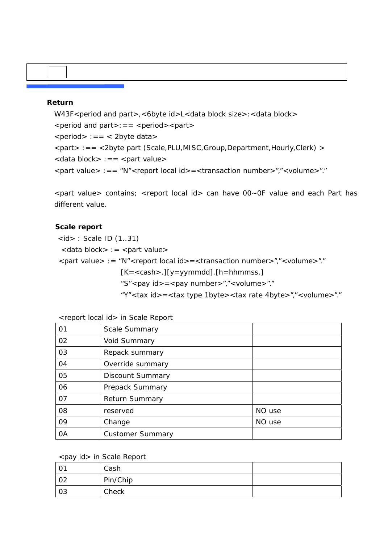#### **Return**

```
W43F<period and part>,<6byte id>L<data block size>:<data block>
\le period and part\ge: = = \le period\ge \le part\ge\epsilon <period> :== \epsilon 2byte data>
<part> :== <2byte part (Scale,PLU,MISC,Group,Department,Hourly,Clerk) > 
\langle <data block> :== \langle part value>
<part value> :== "N"<report local id>=<transaction number>","<volume>"."
```
 <part value> contains; <report local id> can have 00~0F value and each Part has different value.

#### **Scale report**

 $\langle$ id $>$ : Scale ID (1..31)

 $\alpha$  <data block> : = <part value>

<part value> := "N"<report local id>=<transaction number>","<volume>"."

 $[K = <$ cash>.][y=yymmdd].[h=hhmmss.]

"S"<pay id> = <pay number>","<volume>"."

"Y"<tax id>=<tax type 1byte><tax rate 4byte>","<volume>"."

|  | <report id="" local=""> in Scale Report</report> |
|--|--------------------------------------------------|
|--|--------------------------------------------------|

| 01 | <b>Scale Summary</b>    |        |
|----|-------------------------|--------|
| 02 | <b>Void Summary</b>     |        |
| 03 | Repack summary          |        |
| 04 | Override summary        |        |
| 05 | Discount Summary        |        |
| 06 | Prepack Summary         |        |
| 07 | Return Summary          |        |
| 08 | reserved                | NO use |
| 09 | Change                  | NO use |
| 0A | <b>Customer Summary</b> |        |

#### <pay id> in Scale Report

| . U . | Cash     |  |
|-------|----------|--|
| 02    | Pin/Chip |  |
| 03    | Check    |  |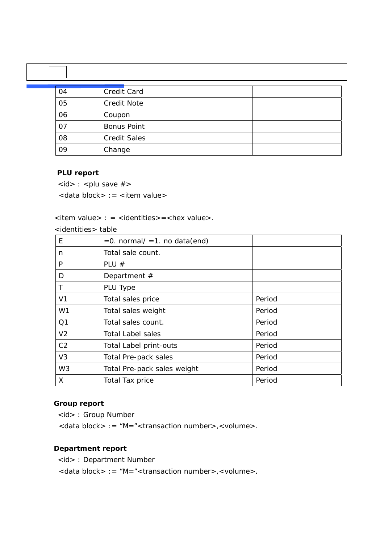| 04 | Credit Card         |
|----|---------------------|
| 05 | <b>Credit Note</b>  |
| 06 | Coupon              |
| 07 | <b>Bonus Point</b>  |
| 08 | <b>Credit Sales</b> |
| 09 | Change              |

#### **PLU report**

 $\langle$ id> :  $\langle$ plu save #>

<data block> := <item value>

<item value> : = <identities> = <hex value>.

<identities> table

| E              | $= 0$ . normal/ $= 1$ . no data(end) |        |
|----------------|--------------------------------------|--------|
| n              | Total sale count.                    |        |
| P              | PLU $#$                              |        |
| D              | Department $#$                       |        |
|                | PLU Type                             |        |
| V <sub>1</sub> | Total sales price                    | Period |
| W1             | Total sales weight                   | Period |
| Q <sub>1</sub> | Total sales count.                   | Period |
| V <sub>2</sub> | <b>Total Label sales</b>             | Period |
| C <sub>2</sub> | <b>Total Label print-outs</b>        | Period |
| V <sub>3</sub> | Total Pre-pack sales                 | Period |
| W <sub>3</sub> | Total Pre-pack sales weight          | Period |
| X              | Total Tax price                      | Period |

#### **Group report**

<id> : Group Number

<data block> := "M="<transaction number>,<volume>.

#### **Department report**

<id> : Department Number

<data block> := "M="<transaction number>,<volume>.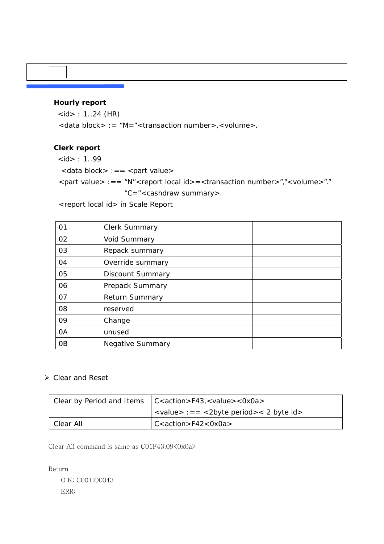#### **Hourly report**

 $$ 

<data block> := "M="<transaction number>,<volume>.

#### **Clerk report**

- $$
- <data block> :== <part value>

<part value> :== "N"<report local id>=<transaction number>","<volume>"."

"C="<cashdraw summary>.

<report local id> in Scale Report

| 01             | Clerk Summary           |
|----------------|-------------------------|
| 02             | Void Summary            |
| 03             | Repack summary          |
| 04             | Override summary        |
| 05             | <b>Discount Summary</b> |
| 06             | Prepack Summary         |
| 07             | <b>Return Summary</b>   |
| 08             | reserved                |
| 09             | Change                  |
| 0A             | unused                  |
| 0 <sub>B</sub> | <b>Negative Summary</b> |

#### ¾ Clear and Reset

|           | Clear by Period and Items $ C \lt \text{action} > F43$ , $\lt$ value $>$ $\lt$ 0x0a $>$                |
|-----------|--------------------------------------------------------------------------------------------------------|
|           | $\langle \text{value} \rangle := \langle \text{2byte period} \rangle \langle \text{2 byte id} \rangle$ |
| Clear All | $C \lt \text{action} > F42 \lt 0 \times 0a$                                                            |

Clear All command is same as  $CO1F43.09<0x0a$ 

Return O K: C001:O0043 ERR: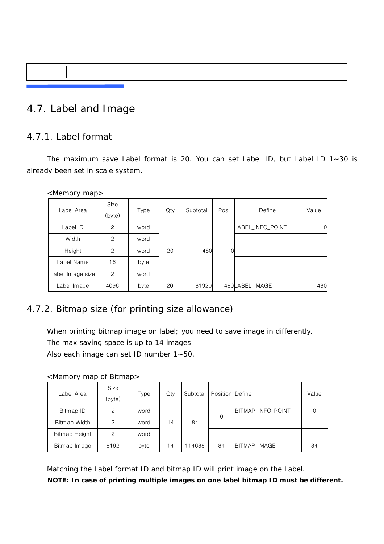# 4.7. Label and Image

### 4.7.1. Label format

The maximum save Label format is 20. You can set Label ID, but Label ID 1~30 is already been set in scale system.

<Memory map>

| Label Area       | Size<br>(byte) | <b>Type</b> | Qty | Subtotal | Pos | Define           | Value    |
|------------------|----------------|-------------|-----|----------|-----|------------------|----------|
| Label ID         | $\overline{c}$ | word        |     |          |     | LABEL_INFO_POINT | $\Omega$ |
| Width            | 2              | word        |     |          |     |                  |          |
| Height           | $\mathcal{P}$  | word        | 20  | 480      | ი   |                  |          |
| Label Name       | 16             | byte        |     |          |     |                  |          |
| Label Image size | $\overline{c}$ | word        |     |          |     |                  |          |
| Label Image      | 4096           | byte        | 20  | 81920    |     | 480LABEL_IMAGE   | 480      |

### 4.7.2. Bitmap size (for printing size allowance)

When printing bitmap image on label; you need to save image in differently. The max saving space is up to 14 images.

Also each image can set ID number 1~50.

#### <Memory map of Bitmap>

| Label Area    | Size<br>(byte) | Type | Qty |        | Subtotal   Position Define |                   | Value |
|---------------|----------------|------|-----|--------|----------------------------|-------------------|-------|
| Bitmap ID     | 2              | word |     |        | 0                          | BITMAP_INFO_POINT |       |
| Bitmap Width  | 2              | word | 14  | 84     |                            |                   |       |
| Bitmap Height | 2              | word |     |        |                            |                   |       |
| Bitmap Image  | 8192           | byte | 14  | 114688 | 84                         | BITMAP_IMAGE      | 84    |

Matching the Label format ID and bitmap ID will print image on the Label.

**NOTE: In case of printing multiple images on one label bitmap ID must be different.**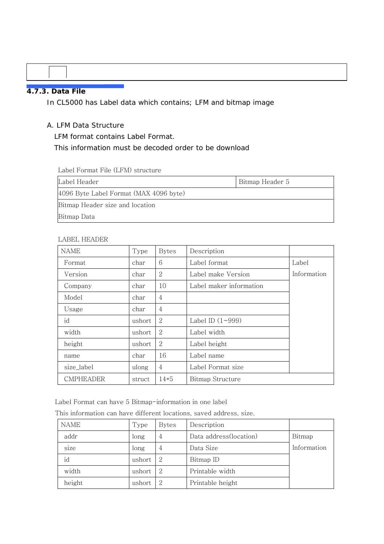#### **4.7.3. Data File**

In CL5000 has Label data which contains; LFM and bitmap image

#### A. LFM Data Structure

LFM format contains Label Format.

#### This information must be decoded order to be download

Label Format File (LFM) structure

| Label Header                           | Bitmap Header 5 |
|----------------------------------------|-----------------|
| 4096 Byte Label Format (MAX 4096 byte) |                 |
| Bitmap Header size and location        |                 |
| Bitmap Data                            |                 |

#### LABEL HEADER

| <b>NAME</b>      | Type   | <b>Bytes</b>   | Description             |             |
|------------------|--------|----------------|-------------------------|-------------|
| Format           | char   | 6              | Label format            | Label       |
| Version          | char   | 2              | Label make Version      | Information |
| Company          | char   | 10             | Label maker information |             |
| Model            | char   | 4              |                         |             |
| Usage            | char   | $\overline{4}$ |                         |             |
| id               | ushort | 2              | Label ID $(1 \sim 999)$ |             |
| width            | ushort | 2              | Label width             |             |
| height           | ushort | 2              | Label height            |             |
| name             | char   | 16             | Label name              |             |
| size_label       | ulong  | 4              | Label Format size       |             |
| <b>CMPHEADER</b> | struct | $14*5$         | Bitmap Structure        |             |

Label Format can have 5 Bitmap-information in one label

|  |  | This information can have different locations, saved address, size. |  |  |  |  |  |  |
|--|--|---------------------------------------------------------------------|--|--|--|--|--|--|
|--|--|---------------------------------------------------------------------|--|--|--|--|--|--|

| NAME   | Type   | <b>Bytes</b> | Description            |             |
|--------|--------|--------------|------------------------|-------------|
| addr   | long   | 4            | Data address(location) | Bitmap      |
| size   | long   | 4            | Data Size              | Information |
| id     | ushort | 2            | Bitmap ID              |             |
| width  | ushort | 2            | Printable width        |             |
| height | ushort | 2            | Printable height       |             |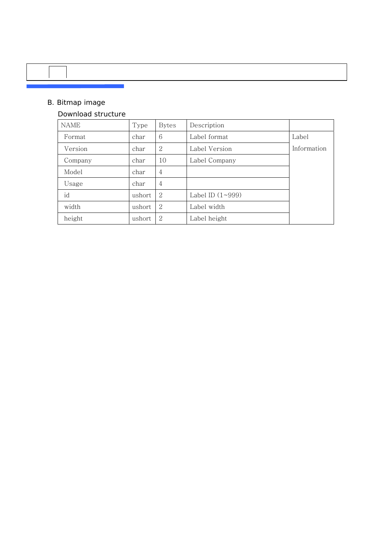### B. Bitmap image

#### Download structure

 $\overline{\phantom{a}}$ 

| <b>NAME</b> | Type   | <b>Bytes</b>   | Description             |             |
|-------------|--------|----------------|-------------------------|-------------|
| Format      | char   | 6              | Label format            | Label       |
| Version     | char   | 2              | Label Version           | Information |
| Company     | char   | 10             | Label Company           |             |
| Model       | char   | $\overline{4}$ |                         |             |
| Usage       | char   | 4              |                         |             |
| id          | ushort | 2              | Label ID $(1 \sim 999)$ |             |
| width       | ushort | 2              | Label width             |             |
| height      | ushort | 2              | Label height            |             |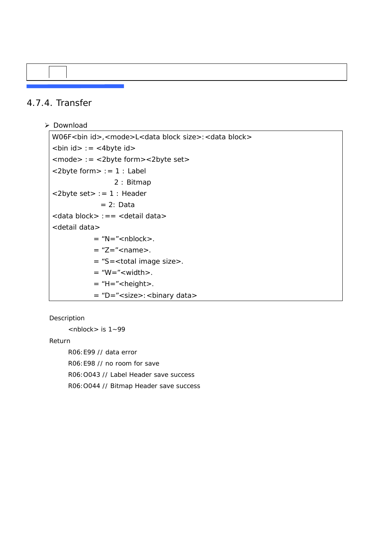### 4.7.4. Transfer

#### ¾ Download

```
W06F<br/>shim id>,<mode>L<data block size>:<data block>
\text{sin id} = \text{cos 4}<mode> := <2byte form><2byte set> 
<2byte form> := 1 : Label 
                  2 : Bitmap 
<2byte set> := 1 : Header 
             = 2: Data<data block> :== <detail data> 
<detail data> 
           = "N=" < nblock >.
           = "Z=" < name >.
           = "S=<total image size>. 
           = "W=" < width >.
           = "H=" < height >.
           = "D="<size>:<binary data>
```
Description

 $<sub>n</sub>$ hock  $>$  is  $1 - 99$ </sub>

Return

 R06:E99 // data error R06:E98 // no room for save R06:O043 // Label Header save success R06:O044 // Bitmap Header save success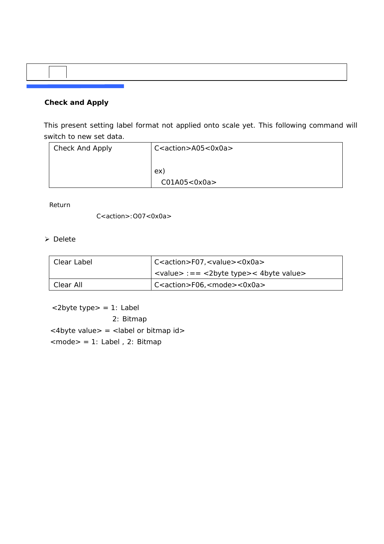### **Check and Apply**

 This present setting label format not applied onto scale yet. This following command will switch to new set data.

| Check And Apply | $C$ <action>A05&lt;0x0a&gt;</action> |
|-----------------|--------------------------------------|
|                 |                                      |
|                 | ex)                                  |
|                 | CO1A05 < OxOa                        |

Return

 $C$ <action>: $O07$ < $OxOa$ 

¾ Delete

| Clear Label | $C$ <action>F07,<value>&lt;0x0a&gt;</value></action>                                                   |  |
|-------------|--------------------------------------------------------------------------------------------------------|--|
|             | $\langle \text{value} \rangle := \langle \text{2byte type} \rangle \langle \text{4byte value} \rangle$ |  |
| Clear All   | $C$ <action>F06,<mode>&lt;0x0a&gt;</mode></action>                                                     |  |

 <2byte type> = 1: Label 2: Bitmap  $<$  4byte value $>$  =  $<$  label or bitmap id $>$ <mode> = 1: Label , 2: Bitmap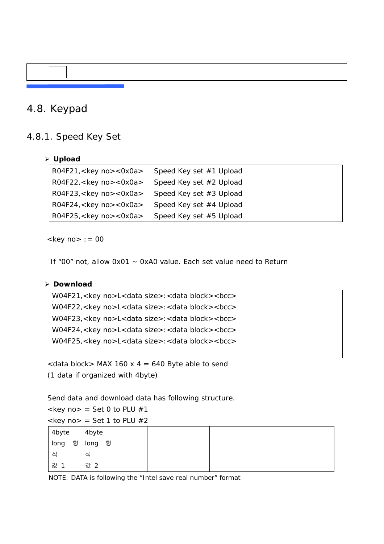### 4.8. Keypad

#### 4.8.1. Speed Key Set

#### ¾ **Upload**

| R04F21, <key no="">&lt;0x0a&gt; Speed Key set #1 Upload</key> |                         |
|---------------------------------------------------------------|-------------------------|
| R04F22, <key no="">&lt;0x0a&gt;</key>                         | Speed Key set #2 Upload |
| R04F23, <key no="">&lt;0x0a&gt;</key>                         | Speed Key set #3 Upload |
| R04F24, <key no="">&lt;0x0a&gt;</key>                         | Speed Key set #4 Upload |
| R04F25, <key no="">&lt;0x0a&gt;</key>                         | Speed Key set #5 Upload |

 $<$ key no $>$  : = 00

If "00" not, allow 0x01 ~ 0xA0 value. Each set value need to Return

#### ¾ **Download**

```
W04F21,<key no>L<data size>:<data block><bcc>
W04F22,<key no>L<data size>:<data block><bcc> 
W04F23,<key no>L<data size>:<data block><bcc> 
W04F24,<key no>L<data size>:<data block><br/>>bcc>
W04F25,<key no>L<data size>:<data block><bcc>
```
 $\alpha$  <data block > MAX 160 x 4 = 640 Byte able to send (1 data if organized with 4byte)

Send data and download data has following structure.

 $\langle$ key no > = Set 0 to PLU #1

 $\langle$ key no $\rangle$  = Set 1 to PLU #2

| 4byte     | 4byte     |  |  |
|-----------|-----------|--|--|
| 형<br>long | 형<br>long |  |  |
| 싀         | 식         |  |  |
| 값 1       | 값 2       |  |  |

NOTE: DATA is following the "Intel save real number" format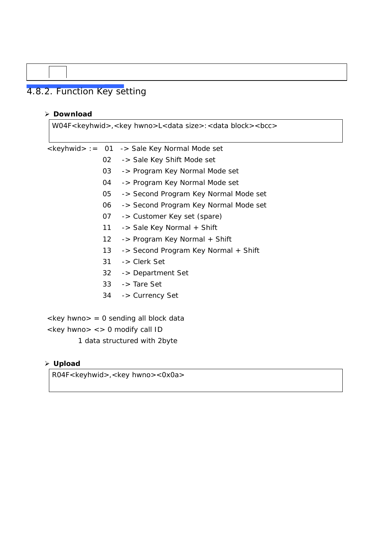# 4.8.2. Function Key setting

#### **Download**

W04F<keyhwid>,<key hwno>L<data size>:<data block><bcc> <keyhwid> := 01 -> Sale Key Normal Mode set -> Sale Key Shift Mode set -> Program Key Normal Mode set -> Program Key Normal Mode set -> Second Program Key Normal Mode set -> Second Program Key Normal Mode set -> Customer Key set (spare) -> Sale Key Normal + Shift -> Program Key Normal + Shift -> Second Program Key Normal + Shift -> Clerk Set -> Department Set -> Tare Set -> Currency Set <key hwno> = 0 sending all block data  $\langle$ key hwno>  $\langle$  > 0 modify call ID

1 data structured with 2byte

#### **Upload**

R04F<keyhwid>,<key hwno><0x0a>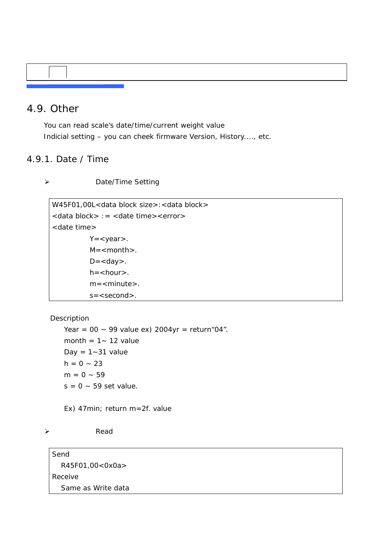### 4.9. Other

You can read scale's date/time/current weight value Indicial setting – you can cheek firmware Version, History...., etc.

### 4.9.1. Date / Time

¾ Date/Time Setting

W45F01,00L<data block size>:<data block> <data block> := <date time><error> <date time>  $Y = < \gamma$ ear $>$ .  $M =$  < month >.  $D =$ .  $h = <$ hour $>$ .  $m =$  < minute >. s=<second>.

Description

Year =  $00 \sim 99$  value ex) 2004yr = return "04". month =  $1 - 12$  value Day =  $1 - 31$  value  $h = 0 - 23$  $m = 0 - 59$  $s = 0 \sim 59$  set value.

Ex) 47min; return m=2f. value

¾ Read

Send R45F01,00<0x0a> Receive Same as Write data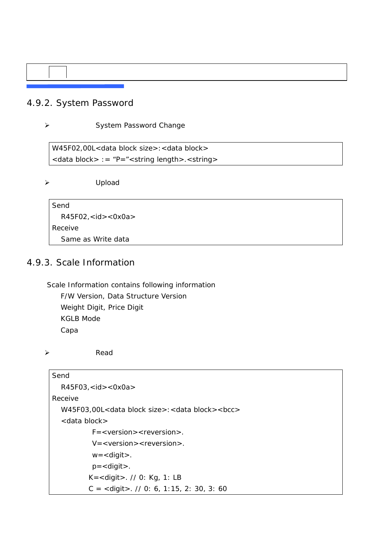### 4.9.2. System Password

#### ¾ System Password Change

W45F02,00L<data block size>:<data block> <data block> := "P="<string length>.<string>

¾ Upload

Send R45F02,<id><0x0a> Receive Same as Write data

### 4.9.3. Scale Information

Scale Information contains following information

F/W Version, Data Structure Version Weight Digit, Price Digit KGLB Mode Capa

¾ Read

| Send                                                                        |
|-----------------------------------------------------------------------------|
| $R45F03$ , <id> &lt;0x0a &gt;</id>                                          |
| Receive                                                                     |
| W45F03,00L <data block="" size="">:<data block=""><bcc></bcc></data></data> |
| $<$ data block $>$                                                          |
| $F =  $ .                                                                   |
| $V = <\varepsilon$ version $>$ < reversion $>$ .                            |
| $w =$ < digit >.                                                            |
| $p =$ < digit >.                                                            |
| $K =$ < digit > $1/10$ : Kg, 1: LB                                          |
| $C =$ <digit> <math>\frac{1}{2}</math> 0: 6, 1:15, 2: 30, 3: 60</digit>     |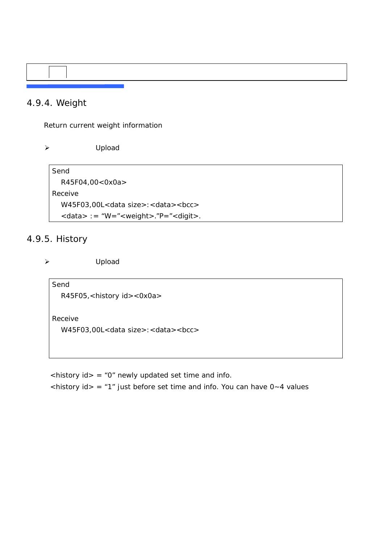### 4.9.4. Weight

Return current weight information

¾ Upload

Send R45F04,00<0x0a> Receive W45F03,00L<data size>:<data><br/> <br/>cc> <data> := "W="<weight>."P="<digit>.

### 4.9.5. History

¾ Upload

Send R45F05,<history id><0x0a>

Receive

W45F03,00L<data size>:<data><br/> <br/>cc>

 $\langle$ history id> = "0" newly updated set time and info.  $\langle$ history id> = "1" just before set time and info. You can have 0~4 values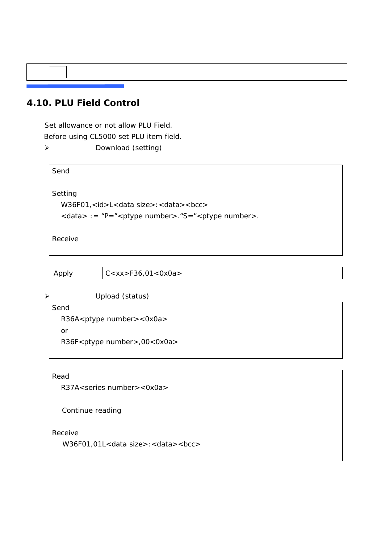### **4.10. PLU Field Control**

Set allowance or not allow PLU Field. Before using CL5000 set PLU item field. ¾ Download (setting)

Send Setting W36F01,<id>L<data size>:<data><br/> <br/>cc> <data> := "P="<ptype number>."S="<ptype number>. Receive

| Apply | $c <$ xx>F36,01<0x0a> |
|-------|-----------------------|
|-------|-----------------------|

#### ¾ Upload (status)

Send R36A<ptype number><0x0a> or R36F<ptype number>,00<0x0a>

Read

R37A<series number><0x0a>

Continue reading

Receive

W36F01,01L<data size>:<data><br/> <br/>cc>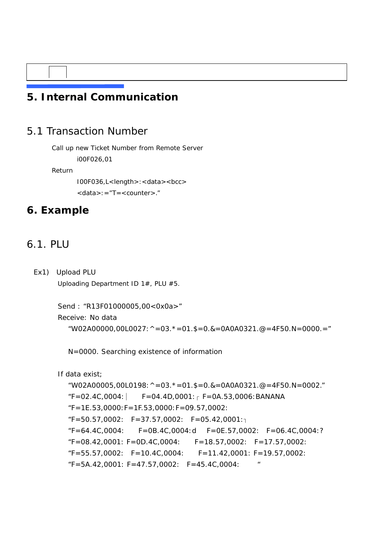# **5. Internal Communication**

### 5.1 Transaction Number

Call up new Ticket Number from Remote Server

i00F026,01

Return

 I00F036,L<length>:<data><bcc> <data>:="T=<counter>."

# **6. Example**

## 6.1. PLU

Ex1) Upload PLU

Uploading Department ID 1#, PLU #5.

```
Send : "R13F01000005,00<0x0a>"
```
Receive: No data

```
"W02A00000,00L0027: \land =03. \star =01. $ =0. & =0A0A0321. @ =4F50. N = 0000. ="
```
N=0000. Searching existence of information

```
 If data exist;
```

```
"W02A00005,00L0198: \land =03. \star =01. $ =0. & =0A0A0321. @ =4F50. N = 0002."
F=02.4C,0004: F=04.4D,0001: F=0A.53,0006: BANANA
"F=1E.53,0000:F=1F.53,0000:F=09.57,0002: 
F=50.57,0002: F=37.57,0002: F=05.42,0001:
"F=64.4C,0004: F=0B.4C,0004:d F=0E.57,0002: F=06.4C,0004:? 
"F=08.42,0001: F=0D.4C,0004: F=18.57,0002: F=17.57,0002: 
"F=55.57,0002: F=10.4C,0004: F=11.42,0001: F=19.57,0002: 
"F=5A.42,0001: F=47.57,0002: F=45.4C,0004: "
```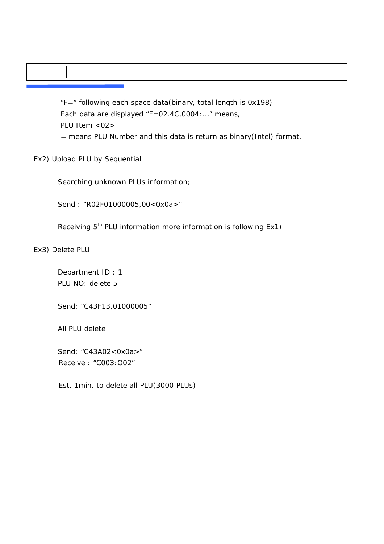"F=" following each space data(binary, total length is 0x198) Each data are displayed "F=02.4C,0004:..." means, PLU Item <02> = means PLU Number and this data is return as binary(Intel) format.

Ex2) Upload PLU by Sequential

Searching unknown PLUs information;

Send : "R02F01000005,00<0x0a>"

Receiving 5<sup>th</sup> PLU information more information is following Ex1)

Ex3) Delete PLU

 Department ID : 1 PLU NO: delete 5

Send: "C43F13,01000005"

All PLU delete

Send: "C43A02<0x0a>" Receive : "C003:O02"

Est. 1min. to delete all PLU(3000 PLUs)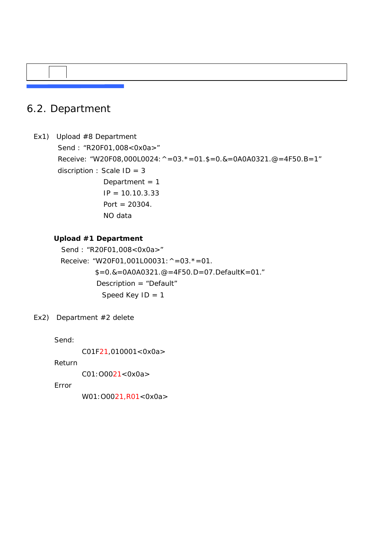# 6.2. Department

```
Ex1) Upload #8 Department 
       Send : "R20F01,008<0x0a>" 
       Receive: "W20F08,000L0024:^=03.*=01.$=0.&=0A0A0321.@=4F50.B=1" 
      discription : Scale ID = 3 
                  Department = 1IP = 10.10.3.33Port = 20304.
                   NO data
```
#### **Upload #1 Department**

```
Send : "R20F01,008<0x0a>"
Receive: "W20F01,001L00031: ^=03.*=01.
        $=0.8=0A0A0321.@=4F50.D=07.DefaultK=01."
         Description = "Default" 
          Speed Key ID = 1
```
Ex2) Department #2 delete

Send:

C01F21,010001<0x0a>

Return

C01:O0021<0x0a>

Error

W01: 00021, R01<0x0a>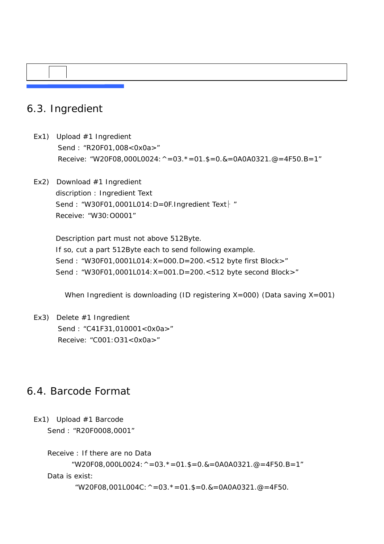# 6.3. Ingredient

- Ex1) Upload #1 Ingredient Send : "R20F01,008<0x0a>" Receive: "W20F08,000L0024:  $\land$  =03.  $\ast$  =01. \$=0. & =0A0A0321. @ =4F50. B = 1"
- Ex2) Download #1 Ingredient discription : Ingredient Text Send : "W30F01,0001L014: D=0F.Ingredient Text | " Receive: "W30:O0001"

 Description part must not above 512Byte. If so, cut a part 512Byte each to send following example. Send : "W30F01,0001L014:X=000.D=200.<512 byte first Block>" Send : "W30F01,0001L014:X=001.D=200.<512 byte second Block>"

When Ingredient is downloading (ID registering X=000) (Data saving X=001)

Ex3) Delete #1 Ingredient Send : "C41F31,010001<0x0a>" Receive: "C001:O31<0x0a>"

### 6.4. Barcode Format

Ex1) Upload #1 Barcode Send : "R20F0008,0001"

> Receive : If there are no Data "W20F08,000L0024:  $\land$  =03.  $\star$  =01. \$ =0. & =0A0A0321. @ =4F50. B = 1" Data is exist: "W20F08,001L004C:  $\land$  =03.  $*$  =01. \$ =0. & =0A0A0321. @ =4F50.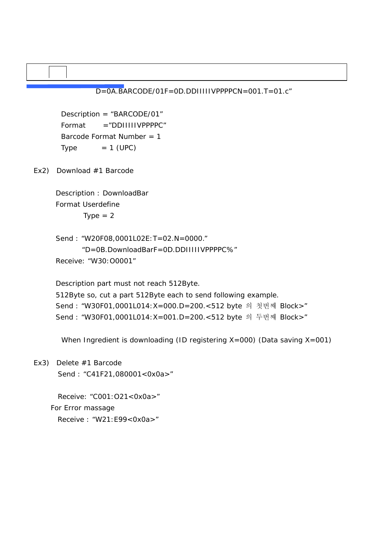D=0A.BARCODE/01F=0D.DDIIIIIVPPPPCN=001.T=01.c"

Description = "BARCODE/01" Format ="DDIIIIIVPPPPC" Barcode Format Number = 1  $Type = 1 (UPC)$ 

Ex2) Download #1 Barcode

 Description : DownloadBar Format Userdefine  $Type = 2$ 

 Send : "W20F08,0001L02E:T=02.N=0000." "D=0B.DownloadBarF=0D.DDIIIIIVPPPPC%" Receive: "W30:O0001"

Description part must not reach 512Byte.

 512Byte so, cut a part 512Byte each to send following example. Send : "W30F01,0001L014:X=000.D=200.<512 byte 의 첫번째 Block>" Send : "W30F01,0001L014:X=001.D=200.<512 byte 의 두번째 Block>"

When Ingredient is downloading (ID registering X=000) (Data saving X=001)

Ex3) Delete #1 Barcode Send : "C41F21,080001<0x0a>"

> Receive: "C001:O21<0x0a>" For Error massage Receive : "W21:E99<0x0a>"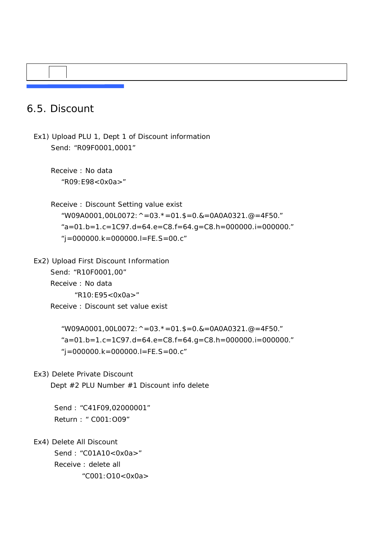## 6.5. Discount

Ex1) Upload PLU 1, Dept 1 of Discount information Send: "R09F0001,0001"

 Receive : No data "R09:E98<0x0a>"

 Receive : Discount Setting value exist "W09A0001,00L0072: ^ = 03.  $*$  = 01. \$ = 0. & = 0A0A0321. @ = 4F50."  $a = 01.b = 1.c = 1C97.d = 64.e = C8.f = 64.g = C8.h = 000000.i = 000000.'$ "j=000000.k=000000.l=FE.S=00.c"

Ex2) Upload First Discount Information Send: "R10F0001,00" Receive : No data "R10:E95<0x0a>" Receive : Discount set value exist

> "W09A0001,00L0072: ^ = 03.  $*$  = 01. \$ = 0. & = 0A0A0321. @ = 4F50."  $a = 01.b = 1.c = 1C97.d = 64.e = C8.f = 64.g = C8.h = 000000.i = 000000$  $'i=0000000$ .k=000000.l=FE.S=00.c"

Ex3) Delete Private Discount

Dept #2 PLU Number #1 Discount info delete

Send : "C41F09,02000001" Return : " C001:O09"

Ex4) Delete All Discount

Send : "C01A10<0x0a>" Receive : delete all "C001:O10<0x0a>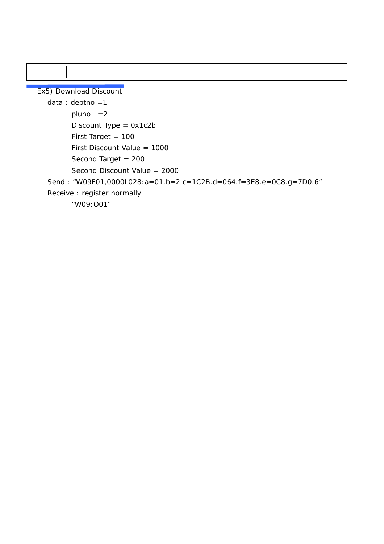Ex5) Download Discount data : deptno =1 pluno =2 Discount Type = 0x1c2b First Target = 100 First Discount Value = 1000 Second Target = 200 Second Discount Value = 2000 Send : "W09F01,0000L028:a=01.b=2.c=1C2B.d=064.f=3E8.e=0C8.g=7D0.6" Receive : register normally "W09:O01"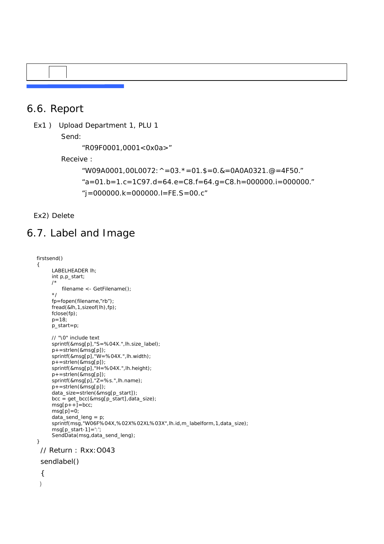### 6.6. Report

Ex1 ) Upload Department 1, PLU 1

Send:

"R09F0001,0001<0x0a>"

Receive :

```
"W09A0001,00L0072: \land =03. \ast =01. $ =0. & =0A0A0321. @ =4F50."
a = 01.b = 1.c = 1C97.d = 64.e = C8.f = 64.g = C8.h = 000000.i = 000000.'"j=000000.k=000000.l=FE.S=00.c"
```
Ex2) Delete

# 6.7. Label and Image

```
firstsend() 
{ 
      LABELHEADER lh; 
     int p,p_start; 
     /* 
          filename <- GetFilename(); 
     */ 
     fp=fopen(filename,"rb"); 
     fread(&lh,1,sizeof(lh),fp); 
     fclose(fp); 
      p=18; 
      p_start=p; 
      // "\0" include text 
      sprintf(&msg[p],"S=%04X.",lh.size_label); 
     p+=strlen(&msg[p]);
      sprintf(&msg[p],"W=%04X.",lh.width); 
 p+=strlen(&msg[p]); 
 sprintf(&msg[p],"H=%04X.",lh.height); 
 p+=strlen(&msg[p]); 
 sprintf(&msg[p],"Z=%s.",lh.name); 
     p+=strlen(&msg[p]);
      data_size=strlen(&msg[p_start]); 
     bcc = get\_bcc(8msg[p\_start],data\_size);msg[p++] = bcc; msg[p]=0; 
      data_send_leng = p; 
      sprintf(msg,"W06F%04X,%02X%02XL%03X",lh.id,m_labelform,1,data_size); 
      msg[p_start-1]=':'; 
     SendData(msg,data_send_leng); 
}
  // Return : Rxx:O043 
  sendlabel() 
  { 
 }
```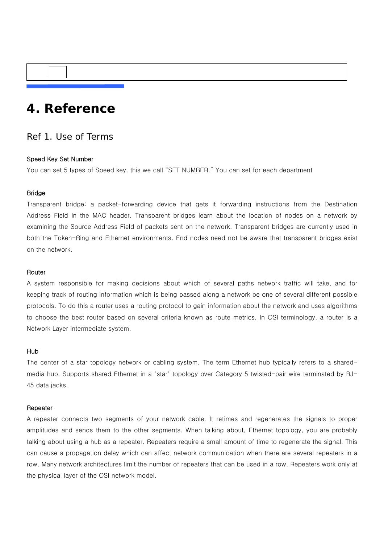# **4. Reference**

# Ref 1. Use of Terms

### Speed Key Set Number

You can set 5 types of Speed key, this we call "SET NUMBER." You can set for each department

# Bridge

Transparent bridge: a packet-forwarding device that gets it forwarding instructions from the Destination Address Field in the MAC header. Transparent bridges learn about the location of nodes on a network by examining the Source Address Field of packets sent on the network. Transparent bridges are currently used in both the Token-Ring and Ethernet environments. End nodes need not be aware that transparent bridges exist on the network.

# Router

A system responsible for making decisions about which of several paths network traffic will take, and for keeping track of routing information which is being passed along a network be one of several different possible protocols. To do this a router uses a routing protocol to gain information about the network and uses algorithms to choose the best router based on several criteria known as route metrics. In OSI terminology, a router is a Network Layer intermediate system.

#### Hub

The center of a star topology network or cabling system. The term Ethernet hub typically refers to a sharedmedia hub. Supports shared Ethernet in a "star" topology over Category 5 twisted-pair wire terminated by RJ-45 data jacks.

#### **Repeater**

A repeater connects two segments of your network cable. It retimes and regenerates the signals to proper amplitudes and sends them to the other segments. When talking about, Ethernet topology, you are probably talking about using a hub as a repeater. Repeaters require a small amount of time to regenerate the signal. This can cause a propagation delay which can affect network communication when there are several repeaters in a row. Many network architectures limit the number of repeaters that can be used in a row. Repeaters work only at the physical layer of the OSI network model.